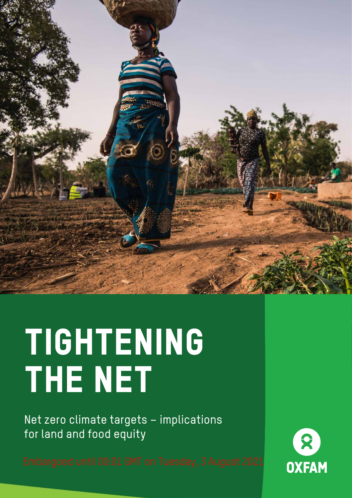

# TIGHTENING the Net

Net zero climate targets – implications for land and food equity

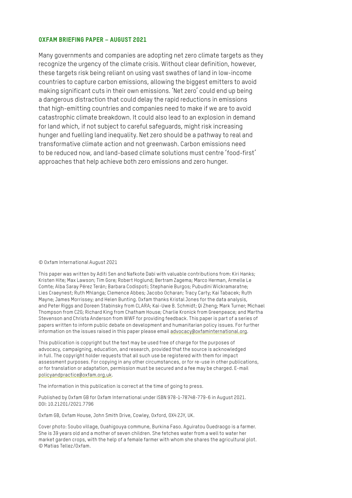#### OXFAM BRIEFING PAPER – AUGUST 2021

Many governments and companies are adopting net zero climate targets as they recognize the urgency of the climate crisis. Without clear definition, however, these targets risk being reliant on using vast swathes of land in low-income countries to capture carbon emissions, allowing the biggest emitters to avoid making significant cuts in their own emissions. 'Net zero' could end up being a dangerous distraction that could delay the rapid reductions in emissions that high-emitting countries and companies need to make if we are to avoid catastrophic climate breakdown. It could also lead to an explosion in demand for land which, if not subject to careful safeguards, might risk increasing hunger and fuelling land inequality. Net zero should be a pathway to real and transformative climate action and not greenwash. Carbon emissions need to be reduced now, and land-based climate solutions must centre 'food-first' approaches that help achieve both zero emissions and zero hunger.

#### © Oxfam International August 2021

This paper was written by Aditi Sen and Nafkote Dabi with valuable contributions from: Kiri Hanks; Kristen Hite; Max Lawson; Tim Gore; Robert Hoglund; Bertram Zagema; Marco Herman, Armelle Le Comte; Alba Saray Pérez Terán; Barbara Codispoti; Stephanie Burgos; Pubudini Wickramaratne; Lies Craeynest; Ruth Mhlanga; Clemence Abbes; Jacobo Ocharan; Tracy Carty; Kai Tabacek; Ruth Mayne; James Morrissey; and Helen Bunting. Oxfam thanks Kristal Jones for the data analysis, and Peter Riggs and Doreen Stabinsky from CLARA; Kai-Uwe B. Schmidt; Qi Zheng; Mark Turner; Michael Thompson from C2G; Richard King from Chatham House; Charlie Kronick from Greenpeace; and Martha Stevenson and Christa Anderson from WWF for providing feedback. This paper is part of a series of papers written to inform public debate on development and humanitarian policy issues. For further information on the issues raised in this paper please email [advocacy@oxfaminternational.org.](mailto:advocacy@oxfaminternational.org)

This publication is copyright but the text may be used free of charge for the purposes of advocacy, campaigning, education, and research, provided that the source is acknowledged in full. The copyright holder requests that all such use be registered with them for impact assessment purposes. For copying in any other circumstances, or for re-use in other publications, or for translation or adaptation, permission must be secured and a fee may be charged. E-mail [policyandpractice@oxfam.org.uk](mailto:policyandpractice@oxfam.org.uk).

The information in this publication is correct at the time of going to press.

Published by Oxfam GB for Oxfam International under ISBN 978-1-78748-779-6 in August 2021. DOI: 10.21201/2021.7796

Oxfam GB, Oxfam House, John Smith Drive, Cowley, Oxford, OX4 2JY, UK.

Cover photo: Soubo village, Ouahigouya commune, Burkina Faso. Aguiratou Ouedraogo is a farmer. She is 39 years old and a mother of seven children. She fetches water from a well to water her market garden crops, with the help of a female farmer with whom she shares the agricultural plot. © Matias Tellez/Oxfam.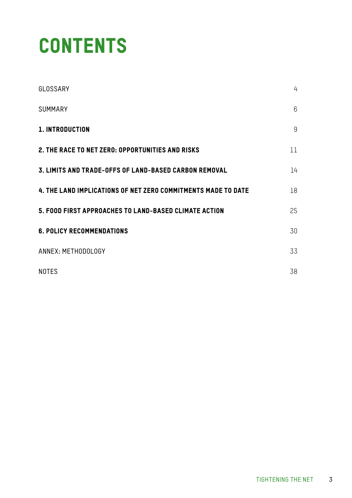### **CONTENTS**

| GLOSSARY                                                      | 4           |
|---------------------------------------------------------------|-------------|
| <b>SUMMARY</b>                                                | 6           |
| 1. INTRODUCTION                                               | $\mathsf g$ |
| 2. THE RACE TO NET ZERO: OPPORTUNITIES AND RISKS              | 11          |
| 3. LIMITS AND TRADE-OFFS OF LAND-BASED CARBON REMOVAL         | 14          |
| 4. THE LAND IMPLICATIONS OF NET ZERO COMMITMENTS MADE TO DATE | 18          |
| 5. FOOD FIRST APPROACHES TO LAND-BASED CLIMATE ACTION         | 25          |
| <b>6. POLICY RECOMMENDATIONS</b>                              | 30          |
| ANNEX: METHODOLOGY                                            | 33          |
| <b>NOTES</b>                                                  | 38          |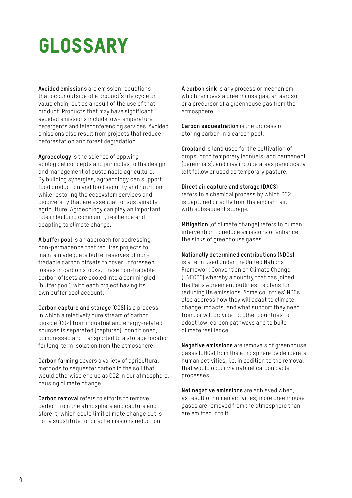### <span id="page-3-0"></span>GLOSSARY

**Avoided emissions** are emission reductions that occur outside of a product's life cycle or value chain, but as a result of the use of that product. Products that may have significant avoided emissions include low-temperature detergents and teleconferencing services. Avoided emissions also result from projects that reduce deforestation and forest degradation.

**Agroecology** is the science of applying ecological concepts and principles to the design and management of sustainable agriculture. By building synergies, agroecology can support food production and food security and nutrition while restoring the ecosystem services and biodiversity that are essential for sustainable agriculture. Agroecology can play an important role in building community resilience and adapting to climate change.

**A buffer pool** is an approach for addressing non-permanence that requires projects to maintain adequate buffer reserves of nontradable carbon offsets to cover unforeseen losses in carbon stocks. These non-tradable carbon offsets are pooled into a commingled 'buffer pool', with each project having its own buffer pool account.

**Carbon capture and storage (CCS)** is a process in which a relatively pure stream of carbon dioxide (CO2) from industrial and energy-related sources is separated (captured), conditioned, compressed and transported to a storage location for long-term isolation from the atmosphere.

**Carbon farming** covers a variety of agricultural methods to sequester carbon in the soil that would otherwise end up as CO2 in our atmosphere, causing climate change.

**Carbon removal** refers to efforts to remove carbon from the atmosphere and capture and store it, which could limit climate change but is not a substitute for direct emissions reduction.

**A carbon sink** is any process or mechanism which removes a greenhouse gas, an aerosol or a precursor of a greenhouse gas from the atmosphere.

**Carbon sequestration** is the process of storing carbon in a carbon pool.

**Cropland** is land used for the cultivation of crops, both temporary (annuals) and permanent (perennials), and may include areas periodically left fallow or used as temporary pasture.

#### **Direct air capture and storage (DACS)**

refers to a chemical process by which CO2 is captured directly from the ambient air, with subsequent storage.

**Mitigation** (of climate change) refers to human intervention to reduce emissions or enhance the sinks of greenhouse gases.

#### **Nationally determined contributions (NDCs)**

is a term used under the United Nations Framework Convention on Climate Change (UNFCCC) whereby a country that has joined the Paris Agreement outlines its plans for reducing its emissions. Some countries' NDCs also address how they will adapt to climate change impacts, and what support they need from, or will provide to, other countries to adopt low-carbon pathways and to build climate resilience.

**Negative emissions** are removals of greenhouse gases (GHGs) from the atmosphere by deliberate human activities, i.e. in addition to the removal that would occur via natural carbon cycle processes.

**Net negative emissions** are achieved when, as result of human activities, more greenhouse gases are removed from the atmosphere than are emitted into it.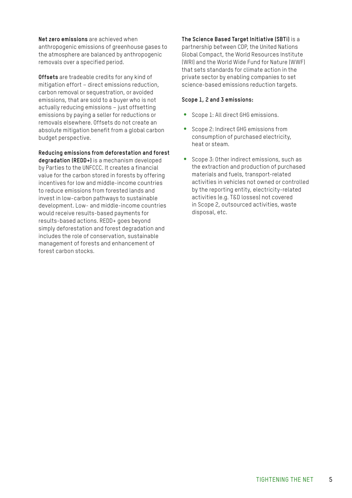**Net zero emissions** are achieved when anthropogenic emissions of greenhouse gases to the atmosphere are balanced by anthropogenic removals over a specified period.

**Offsets** are tradeable credits for any kind of mitigation effort – direct emissions reduction, carbon removal or sequestration, or avoided emissions, that are sold to a buyer who is not actually reducing emissions – just offsetting emissions by paying a seller for reductions or removals elsewhere. Offsets do not create an absolute mitigation benefit from a global carbon budget perspective.

**Reducing emissions from deforestation and forest** 

**degradation (REDD+)** is a mechanism developed by Parties to the UNFCCC. It creates a financial value for the carbon stored in forests by offering incentives for low and middle-income countries to reduce emissions from forested lands and invest in low-carbon pathways to sustainable development. Low- and middle-income countries would receive results-based payments for results-based actions. REDD+ goes beyond simply deforestation and forest degradation and includes the role of conservation, sustainable management of forests and enhancement of forest carbon stocks.

**The Science Based Target Initiative (SBTi)** is a partnership between CDP, the United Nations Global Compact, the World Resources Institute (WRI) and the World Wide Fund for Nature (WWF) that sets standards for climate action in the private sector by enabling companies to set science-based emissions reduction targets.

#### **Scope 1, 2 and 3 emissions:**

- Scope 1: All direct GHG emissions.
- Scope 2: Indirect GHG emissions from consumption of purchased electricity, heat or steam.
- Scope 3: Other indirect emissions, such as the extraction and production of purchased materials and fuels, transport-related activities in vehicles not owned or controlled by the reporting entity, electricity-related activities (e.g. T&D losses) not covered in Scope 2, outsourced activities, waste disposal, etc.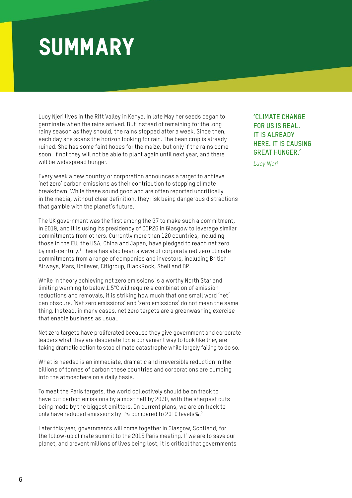### <span id="page-5-0"></span>SUMMARY

Lucy Njeri lives in the Rift Valley in Kenya. In late May her seeds began to germinate when the rains arrived. But instead of remaining for the long rainy season as they should, the rains stopped after a week. Since then, each day she scans the horizon looking for rain. The bean crop is already ruined. She has some faint hopes for the maize, but only if the rains come soon. If not they will not be able to plant again until next year, and there will be widespread hunger.

Every week a new country or corporation announces a target to achieve 'net zero' carbon emissions as their contribution to stopping climate breakdown. While these sound good and are often reported uncritically in the media, without clear definition, they risk being dangerous distractions that gamble with the planet's future.

The UK government was the first among the G7 to make such a commitment, in 2019, and it is using its presidency of COP26 in Glasgow to leverage similar commitments from others. Currently more than 120 countries, including those in the EU, the USA, China and Japan, have pledged to reach net zero by mid-century.<sup>1</sup> There has also been a wave of corporate net zero climate commitments from a range of companies and investors, including British Airways, Mars, Unilever, Citigroup, BlackRock, Shell and BP.

While in theory achieving net zero emissions is a worthy North Star and limiting warming to below 1.5°C will require a combination of emission reductions and removals, it is striking how much that one small word 'net' can obscure. 'Net zero emissions' and 'zero emissions' do not mean the same thing. Instead, in many cases, net zero targets are a greenwashing exercise that enable business as usual.

Net zero targets have proliferated because they give government and corporate leaders what they are desperate for: a convenient way to look like they are taking dramatic action to stop climate catastrophe while largely failing to do so.

What is needed is an immediate, dramatic and irreversible reduction in the billions of tonnes of carbon these countries and corporations are pumping into the atmosphere on a daily basis.

To meet the Paris targets, the world collectively should be on track to have cut carbon emissions by almost half by 2030, with the sharpest cuts being made by the biggest emitters. On current plans, we are on track to only have reduced emissions by 1% compared to 2010 levels%.2

Later this year, governments will come together in Glasgow, Scotland, for the follow-up climate summit to the 2015 Paris meeting. If we are to save our planet, and prevent millions of lives being lost, it is critical that governments **'CLIMATE CHANGE FOR US IS REAL. IT IS ALREADY HERE. IT IS CAUSING GREAT HUNGER.'**

*Lucy Njeri*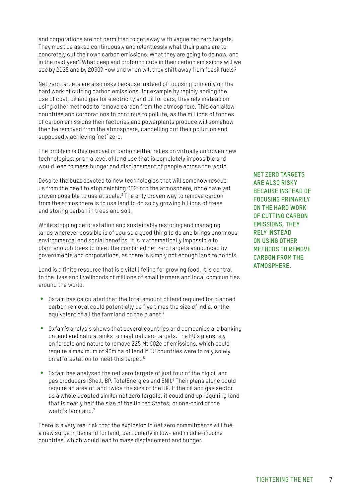and corporations are not permitted to get away with vague net zero targets. They must be asked continuously and relentlessly what their plans are to concretely cut their own carbon emissions. What they are going to do now, and in the next year? What deep and profound cuts in their carbon emissions will we see by 2025 and by 2030? How and when will they shift away from fossil fuels?

Net zero targets are also risky because instead of focusing primarily on the hard work of cutting carbon emissions, for example by rapidly ending the use of coal, oil and gas for electricity and oil for cars, they rely instead on using other methods to remove carbon from the atmosphere. This can allow countries and corporations to continue to pollute, as the millions of tonnes of carbon emissions their factories and powerplants produce will somehow then be removed from the atmosphere, cancelling out their pollution and supposedly achieving 'net' zero.

The problem is this removal of carbon either relies on virtually unproven new technologies, or on a level of land use that is completely impossible and would lead to mass hunger and displacement of people across the world.

Despite the buzz devoted to new technologies that will somehow rescue us from the need to stop belching CO2 into the atmosphere, none have yet proven possible to use at scale.3 The only proven way to remove carbon from the atmosphere is to use land to do so by growing billions of trees and storing carbon in trees and soil.

While stopping deforestation and sustainably restoring and managing lands wherever possible is of course a good thing to do and brings enormous environmental and social benefits, it is mathematically impossible to plant enough trees to meet the combined net zero targets announced by governments and corporations, as there is simply not enough land to do this.

Land is a finite resource that is a vital lifeline for growing food. It is central to the lives and livelihoods of millions of small farmers and local communities around the world.

- Oxfam has calculated that the total amount of land required for planned carbon removal could potentially be five times the size of India, or the equivalent of all the farmland on the planet.<sup>4</sup>
- Oxfam's analysis shows that several countries and companies are banking on land and natural sinks to meet net zero targets. The EU's plans rely on forests and nature to remove 225 Mt CO2e of emissions, which could require a maximum of 90m ha of land if EU countries were to rely solely on afforestation to meet this target.<sup>5</sup>
- Oxfam has analysed the net zero targets of just four of the big oil and gas producers (Shell, BP, TotalEnergies and ENI).<sup>6</sup> Their plans alone could require an area of land twice the size of the UK. If the oil and gas sector as a whole adopted similar net zero targets, it could end up requiring land that is nearly half the size of the United States, or one-third of the world's farmland<sup>7</sup>

There is a very real risk that the explosion in net zero commitments will fuel a new surge in demand for land, particularly in low- and middle-income countries, which would lead to mass displacement and hunger.

**NET ZERO TARGETS ARE ALSO RISKY BECAUSE INSTEAD OF FOCUSING PRIMARILY ON THE HARD WORK OF CUTTING CARBON EMISSIONS, THEY RELY INSTEAD ON USING OTHER METHODS TO REMOVE CARBON FROM THE ATMOSPHERE.**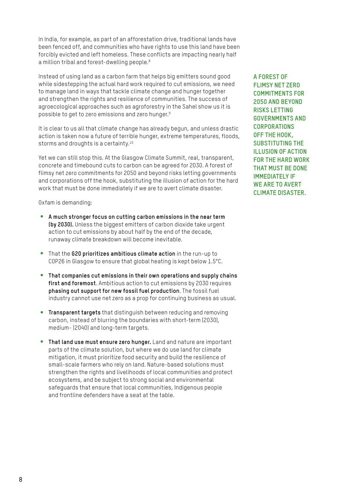In India, for example, as part of an afforestation drive, traditional lands have been fenced off, and communities who have rights to use this land have been forcibly evicted and left homeless. These conflicts are impacting nearly half a million tribal and forest-dwelling people.<sup>8</sup>

Instead of using land as a carbon farm that helps big emitters sound good while sidestepping the actual hard work required to cut emissions, we need to manage land in ways that tackle climate change and hunger together and strengthen the rights and resilience of communities. The success of agroecological approaches such as agroforestry in the Sahel show us it is possible to get to zero emissions and zero hunger.9

It is clear to us all that climate change has already begun, and unless drastic action is taken now a future of terrible hunger, extreme temperatures, floods, storms and droughts is a certainty.<sup>10</sup>

Yet we can still stop this. At the Glasgow Climate Summit, real, transparent, concrete and timebound cuts to carbon can be agreed for 2030. A forest of flimsy net zero commitments for 2050 and beyond risks letting governments and corporations off the hook, substituting the illusion of action for the hard work that must be done immediately if we are to avert climate disaster.

Oxfam is demanding:

- y **A much stronger focus on cutting carbon emissions in the near term (by 2030).** Unless the biggest emitters of carbon dioxide take urgent action to cut emissions by about half by the end of the decade, runaway climate breakdown will become inevitable.
- **•** That the G20 prioritizes ambitious climate action in the run-up to COP26 in Glasgow to ensure that global heating is kept below 1.5°C.
- **•** That companies cut emissions in their own operations and supply chains **first and foremost**. Ambitious action to cut emissions by 2030 requires **phasing out support for new fossil fuel production**. The fossil fuel industry cannot use net zero as a prop for continuing business as usual.
- **Transparent targets** that distinguish between reducing and removing carbon, instead of blurring the boundaries with short-term (2030), medium- (2040) and long-term targets.
- **That land use must ensure zero hunger.** Land and nature are important parts of the climate solution, but where we do use land for climate mitigation, it must prioritize food security and build the resilience of small-scale farmers who rely on land. Nature-based solutions must strengthen the rights and livelihoods of local communities and protect ecosystems, and be subject to strong social and environmental safeguards that ensure that local communities, Indigenous people and frontline defenders have a seat at the table.

**A FOREST OF FLIMSY NET ZERO COMMITMENTS FOR 2050 AND BEYOND RISKS LETTING GOVERNMENTS AND CORPORATIONS OFF THE HOOK, SUBSTITUTING THE ILLUSION OF ACTION FOR THE HARD WORK THAT MUST BE DONE IMMEDIATELY IF**  WE ARE TO AVERT **CLIMATE DISASTER.**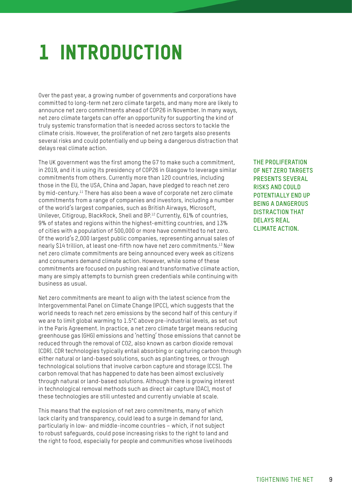## <span id="page-8-0"></span>1 INTRODUCTION

Over the past year, a growing number of governments and corporations have committed to long-term net zero climate targets, and many more are likely to announce net zero commitments ahead of COP26 in November. In many ways, net zero climate targets can offer an opportunity for supporting the kind of truly systemic transformation that is needed across sectors to tackle the climate crisis. However, the proliferation of net zero targets also presents several risks and could potentially end up being a dangerous distraction that delays real climate action.

The UK government was the first among the G7 to make such a commitment, in 2019, and it is using its presidency of COP26 in Glasgow to leverage similar commitments from others. Currently more than 120 countries, including those in the EU, the USA, China and Japan, have pledged to reach net zero by mid-century.<sup>11</sup> There has also been a wave of corporate net zero climate commitments from a range of companies and investors, including a number of the world's largest companies, such as British Airways, Microsoft, Unilever, Citigroup, BlackRock, Shell and BP.<sup>12</sup> Currently, 61% of countries, 9% of states and regions within the highest-emitting countries, and 13% of cities with a population of 500,000 or more have committed to net zero. Of the world's 2,000 largest public companies, representing annual sales of nearly \$14 trillion, at least one-fifth now have net zero commitments.13 New net zero climate commitments are being announced every week as citizens and consumers demand climate action. However, while some of these commitments are focused on pushing real and transformative climate action, many are simply attempts to burnish green credentials while continuing with business as usual.

Net zero commitments are meant to align with the latest science from the Intergovernmental Panel on Climate Change (IPCC), which suggests that the world needs to reach net zero emissions by the second half of this century if we are to limit global warming to 1.5°C above pre-industrial levels, as set out in the Paris Agreement. In practice, a net zero climate target means reducing greenhouse gas (GHG) emissions and 'netting' those emissions that cannot be reduced through the removal of CO2, also known as carbon dioxide removal (CDR). CDR technologies typically entail absorbing or capturing carbon through either natural or land-based solutions, such as planting trees, or through technological solutions that involve carbon capture and storage (CCS). The carbon removal that has happened to date has been almost exclusively through natural or land-based solutions. Although there is growing interest in technological removal methods such as direct air capture (DAC), most of these technologies are still untested and currently unviable at scale.

This means that the explosion of net zero commitments, many of which lack clarity and transparency, could lead to a surge in demand for land, particularly in low- and middle-income countries – which, if not subject to robust safeguards, could pose increasing risks to the right to land and the right to food, especially for people and communities whose livelihoods **THE PROLIFERATION OF NET ZERO TARGETS PRESENTS SEVERAL RISKS AND COULD POTENTIALLY END UP BEING A DANGEROUS DISTRACTION THAT DELAYS REAL CLIMATE ACTION.**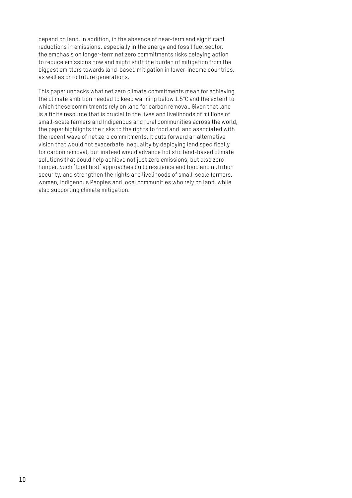depend on land. In addition, in the absence of near-term and significant reductions in emissions, especially in the energy and fossil fuel sector, the emphasis on longer-term net zero commitments risks delaying action to reduce emissions now and might shift the burden of mitigation from the biggest emitters towards land-based mitigation in lower-income countries, as well as onto future generations.

This paper unpacks what net zero climate commitments mean for achieving the climate ambition needed to keep warming below 1.5°C and the extent to which these commitments rely on land for carbon removal. Given that land is a finite resource that is crucial to the lives and livelihoods of millions of small-scale farmers and Indigenous and rural communities across the world, the paper highlights the risks to the rights to food and land associated with the recent wave of net zero commitments. It puts forward an alternative vision that would not exacerbate inequality by deploying land specifically for carbon removal, but instead would advance holistic land-based climate solutions that could help achieve not just zero emissions, but also zero hunger. Such 'food first' approaches build resilience and food and nutrition security, and strengthen the rights and livelihoods of small-scale farmers, women, Indigenous Peoples and local communities who rely on land, while also supporting climate mitigation.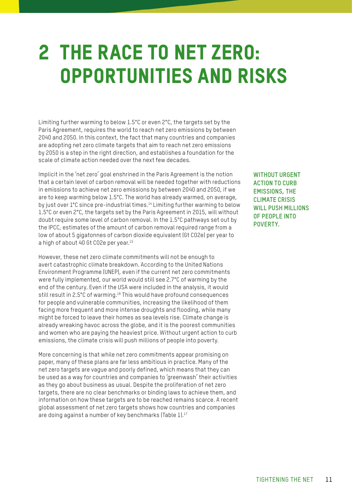### <span id="page-10-0"></span>2 THE RACE TO NET ZERO: OPPORTUNITIES AND RISKS

Limiting further warming to below 1.5°C or even 2°C, the targets set by the Paris Agreement, requires the world to reach net zero emissions by between 2040 and 2050. In this context, the fact that many countries and companies are adopting net zero climate targets that aim to reach net zero emissions by 2050 is a step in the right direction, and establishes a foundation for the scale of climate action needed over the next few decades.

Implicit in the 'net zero' goal enshrined in the Paris Agreement is the notion that a certain level of carbon removal will be needed together with reductions in emissions to achieve net zero emissions by between 2040 and 2050, if we are to keep warming below 1.5°C. The world has already warmed, on average, by just over 1°C since pre-industrial times.<sup>14</sup> Limiting further warming to below 1.5°C or even 2°C, the targets set by the Paris Agreement in 2015, will without doubt require some level of carbon removal. In the 1.5°C pathways set out by the IPCC, estimates of the amount of carbon removal required range from a low of about 5 gigatonnes of carbon dioxide equivalent (Gt CO2e) per year to a high of about 40 Gt CO2e per year.<sup>15</sup>

However, these net zero climate commitments will not be enough to avert catastrophic climate breakdown. According to the United Nations Environment Programme (UNEP), even if the current net zero commitments were fully implemented, our world would still see 2.7°C of warming by the end of the century. Even if the USA were included in the analysis, it would still result in 2.5°C of warming.<sup>16</sup> This would have profound consequences for people and vulnerable communities, increasing the likelihood of them facing more frequent and more intense droughts and flooding, while many might be forced to leave their homes as sea levels rise. Climate change is already wreaking havoc across the globe, and it is the poorest communities and women who are paying the heaviest price. Without urgent action to curb emissions, the climate crisis will push millions of people into poverty.

More concerning is that while net zero commitments appear promising on paper, many of these plans are far less ambitious in practice. Many of the net zero targets are vague and poorly defined, which means that they can be used as a way for countries and companies to 'greenwash' their activities as they go about business as usual. Despite the proliferation of net zero targets, there are no clear benchmarks or binding laws to achieve them, and information on how these targets are to be reached remains scarce. A recent global assessment of net zero targets shows how countries and companies are doing against a number of key benchmarks (Table 1).17

**WITHOUT URGENT ACTION TO CURB EMISSIONS, THE CLIMATE CRISIS WILL PUSH MILLIONS OF PEOPLE INTO POVERTY.**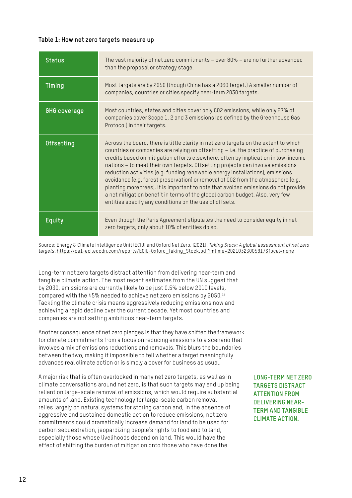#### **Table 1: How net zero targets measure up**

| <b>Status</b>       | The vast majority of net zero commitments - over 80% - are no further advanced<br>than the proposal or strategy stage.                                                                                                                                                                                                                                                                                                                                                                                                                                                                                                                                                                                                                                   |
|---------------------|----------------------------------------------------------------------------------------------------------------------------------------------------------------------------------------------------------------------------------------------------------------------------------------------------------------------------------------------------------------------------------------------------------------------------------------------------------------------------------------------------------------------------------------------------------------------------------------------------------------------------------------------------------------------------------------------------------------------------------------------------------|
| Timing              | Most targets are by 2050 (though China has a 2060 target.) A smaller number of<br>companies, countries or cities specify near-term 2030 targets.                                                                                                                                                                                                                                                                                                                                                                                                                                                                                                                                                                                                         |
| <b>GHG</b> coverage | Most countries, states and cities cover only CO2 emissions, while only 27% of<br>companies cover Scope 1, 2 and 3 emissions (as defined by the Greenhouse Gas<br>Protocol) in their targets.                                                                                                                                                                                                                                                                                                                                                                                                                                                                                                                                                             |
| Offsetting          | Across the board, there is little clarity in net zero targets on the extent to which<br>countries or companies are relying on offsetting - i.e. the practice of purchasing<br>credits based on mitigation efforts elsewhere, often by implication in low-income<br>nations - to meet their own targets. Offsetting projects can involve emissions<br>reduction activities (e.g. funding renewable energy installations), emissions<br>avoidance (e.g. forest preservation) or removal of CO2 from the atmosphere (e.g.<br>planting more trees). It is important to note that avoided emissions do not provide<br>a net mitigation benefit in terms of the global carbon budget. Also, very few<br>entities specify any conditions on the use of offsets. |
| Equity              | Even though the Paris Agreement stipulates the need to consider equity in net<br>zero targets, only about 10% of entities do so.                                                                                                                                                                                                                                                                                                                                                                                                                                                                                                                                                                                                                         |

Source: Energy & Climate Intelligence Unit (ECIU) and Oxford Net Zero. (2021). *Taking Stock: A global assessment of net zero targets*. [https://ca1-eci.edcdn.com/reports/ECIU-Oxford\\_Taking\\_Stock.pdf?mtime=20210323005817&focal=none](https://ca1-eci.edcdn.com/reports/ECIU-Oxford_Taking_Stock.pdf?mtime=20210323005817&focal=none)

Long-term net zero targets distract attention from delivering near-term and tangible climate action. The most recent estimates from the UN suggest that by 2030, emissions are currently likely to be just 0.5% below 2010 levels, compared with the 45% needed to achieve net zero emissions by 2050.18 Tackling the climate crisis means aggressively reducing emissions now and achieving a rapid decline over the current decade. Yet most countries and companies are not setting ambitious near-term targets.

Another consequence of net zero pledges is that they have shifted the framework for climate commitments from a focus on reducing emissions to a scenario that involves a mix of emissions reductions and removals. This blurs the boundaries between the two, making it impossible to tell whether a target meaningfully advances real climate action or is simply a cover for business as usual.

A major risk that is often overlooked in many net zero targets, as well as in climate conversations around net zero, is that such targets may end up being reliant on large-scale removal of emissions, which would require substantial amounts of land. Existing technology for large-scale carbon removal relies largely on natural systems for storing carbon and, in the absence of aggressive and sustained domestic action to reduce emissions, net zero commitments could dramatically increase demand for land to be used for carbon sequestration, jeopardizing people's rights to food and to land, especially those whose livelihoods depend on land. This would have the effect of shifting the burden of mitigation onto those who have done the

**LONG-TERM NET ZERO TARGETS DISTRACT ATTENTION FROM DELIVERING NEAR-TERM AND TANGIBLE CLIMATE ACTION.**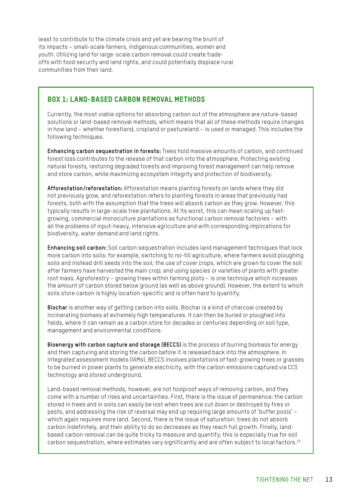least to contribute to the climate crisis and yet are bearing the brunt of its impacts – small-scale farmers, Indigenous communities, women and youth. Utilizing land for large-scale carbon removal could create tradeoffs with food security and land rights, and could potentially displace rural communities from their land.

### Box 1: Land-based carbon removal methods

Currently, the most viable options for absorbing carbon out of the atmosphere are nature-based solutions or land-based removal methods, which means that all of these methods require changes in how land – whether forestland, cropland or pastureland – is used or managed. This includes the following techniques.

**Enhancing carbon sequestration in forests:** Trees hold massive amounts of carbon, and continued forest loss contributes to the release of that carbon into the atmosphere. Protecting existing natural forests, restoring degraded forests and improving forest management can help remove and store carbon, while maximizing ecosystem integrity and protection of biodiversity.

**Afforestation/reforestation:** Afforestation means planting forests on lands where they did not previously grow, and reforestation refers to planting forests in areas that previously had forests, both with the assumption that the trees will absorb carbon as they grow. However, this typically results in large-scale tree plantations. At its worst, this can mean scaling up fastgrowing, commercial monoculture plantations as functional carbon removal factories – with all the problems of input-heavy, intensive agriculture and with corresponding implications for biodiversity, water demand and land rights.

**Enhancing soil carbon:** Soil carbon sequestration includes land management techniques that lock more carbon into soils: for example, switching to no-till agriculture, where farmers avoid ploughing soils and instead drill seeds into the soil; the use of cover crops, which are grown to cover the soil after farmers have harvested the main crop; and using species or varieties of plants with greater root mass. Agroforestry – growing trees within farming plots – is one technique which increases the amount of carbon stored below ground (as well as above ground). However, the extent to which soils store carbon is highly location-specific and is often hard to quantify.

**Biochar** is another way of getting carbon into soils. Biochar is a kind of charcoal created by incinerating biomass at extremely high temperatures. It can then be buried or ploughed into fields, where it can remain as a carbon store for decades or centuries depending on soil type, management and environmental conditions.

**Bioenergy with carbon capture and storage (BECCS)** is the process of burning biomass for energy and then capturing and storing the carbon before it is released back into the atmosphere. In integrated assessment models (IAMs), BECCS involves plantations of fast-growing trees or grasses to be burned in power plants to generate electricity, with the carbon emissions captured via CCS technology and stored underground.

Land-based removal methods, however, are not foolproof ways of removing carbon, and they come with a number of risks and uncertainties. First, there is the issue of permanence: the carbon stored in trees and in soils can easily be lost when trees are cut down or destroyed by fires or pests, and addressing the risk of reversal may end up requiring large amounts of 'buffer pools' – which again requires more land. Second, there is the issue of saturation: trees do not absorb carbon indefinitely, and their ability to do so decreases as they reach full growth. Finally, landbased carbon removal can be quite tricky to measure and quantify; this is especially true for soil carbon sequestration, where estimates vary significantly and are often subject to local factors.19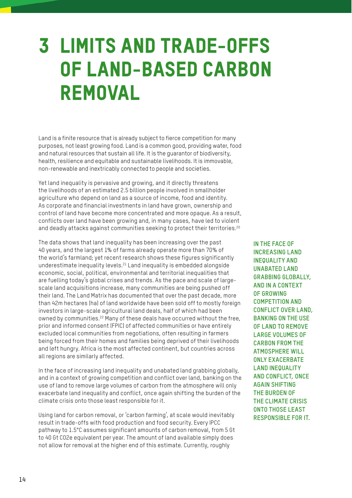### <span id="page-13-0"></span>3 LIMITS AND TRADE-OFFS OF LAND-BASED CARBON REMOVAL

Land is a finite resource that is already subject to fierce competition for many purposes, not least growing food. Land is a common good, providing water, food and natural resources that sustain all life. It is the guarantor of biodiversity, health, resilience and equitable and sustainable livelihoods. It is immovable, non-renewable and inextricably connected to people and societies.

Yet land inequality is pervasive and growing, and it directly threatens the livelihoods of an estimated 2.5 billion people involved in smallholder agriculture who depend on land as a source of income, food and identity. As corporate and financial investments in land have grown, ownership and control of land have become more concentrated and more opaque. As a result, conflicts over land have been growing and, in many cases, have led to violent and deadly attacks against communities seeking to protect their territories.<sup>20</sup>

The data shows that land inequality has been increasing over the past 40 years, and the largest 1% of farms already operate more than 70% of the world's farmland; yet recent research shows these figures significantly underestimate inequality levels.21 Land inequality is embedded alongside economic, social, political, environmental and territorial inequalities that are fuelling today's global crises and trends. As the pace and scale of largescale land acquisitions increase, many communities are being pushed off their land. The Land Matrix has documented that over the past decade, more than 42m hectares (ha) of land worldwide have been sold off to mostly foreign investors in large-scale agricultural land deals, half of which had been owned by communities.<sup>22</sup> Many of these deals have occurred without the free, prior and informed consent (FPIC) of affected communities or have entirely excluded local communities from negotiations, often resulting in farmers being forced from their homes and families being deprived of their livelihoods and left hungry. Africa is the most affected continent, but countries across all regions are similarly affected.

In the face of increasing land inequality and unabated land grabbing globally, and in a context of growing competition and conflict over land, banking on the use of land to remove large volumes of carbon from the atmosphere will only exacerbate land inequality and conflict, once again shifting the burden of the climate crisis onto those least responsible for it.

Using land for carbon removal, or 'carbon farming', at scale would inevitably result in trade-offs with food production and food security. Every IPCC pathway to 1.5°C assumes significant amounts of carbon removal, from 5 Gt to 40 Gt CO2e equivalent per year. The amount of land available simply does not allow for removal at the higher end of this estimate. Currently, roughly

**IN THE FACE OF INCREASING LAND INEQUALITY AND UNABATED LAND GRABBING GLOBALLY, AND IN A CONTEXT OF GROWING COMPETITION AND CONFLICT OVER LAND, BANKING ON THE USE OF LAND TO REMOVE LARGE VOLUMES OF CARBON FROM THE ATMOSPHERE WILL ONLY EXACERBATE LAND INEQUALITY AND CONFLICT, ONCE AGAIN SHIFTING THE BURDEN OF THE CLIMATE CRISIS ONTO THOSE LEAST RESPONSIBLE FOR IT.**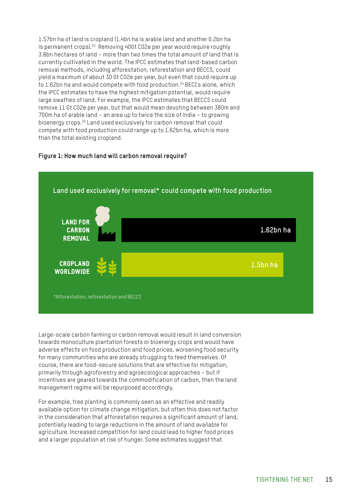1.57bn ha of land is cropland (1.4bn ha is arable land and another 0.2bn ha is permanent crops).<sup>23</sup> Removing 40Gt CO2e per year would require roughly 3.8bn hectares of land – more than two times the total amount of land that is currently cultivated in the world. The IPCC estimates that land-based carbon removal methods, including afforestation, reforestation and BECCS, could yield a maximum of about 30 Gt CO2e per year, but even that could require up to 1.62bn ha and would compete with food production.<sup>24</sup> BECCs alone, which the IPCC estimates to have the highest mitigation potential, would require large swathes of land. For example, the IPCC estimates that BECCS could remove 11 Gt CO2e per year, but that would mean devoting between 380m and 700m ha of arable land – an area up to twice the size of India – to growing bioenergy crops.25 Land used exclusively for carbon removal that could compete with food production could range up to 1.62bn ha, which is more than the total existing cropland.

#### **Figure 1: How much land will carbon removal require?**



Large-scale carbon farming or carbon removal would result in land conversion towards monoculture plantation forests or bioenergy crops and would have adverse effects on food production and food prices, worsening food security for many communities who are already struggling to feed themselves. Of course, there are food-secure solutions that are effective for mitigation, primarily through agroforestry and agroecological approaches – but if incentives are geared towards the commodification of carbon, then the land management regime will be repurposed accordingly.

For example, tree planting is commonly seen as an effective and readily available option for climate change mitigation, but often this does not factor in the consideration that afforestation requires a significant amount of land, potentially leading to large reductions in the amount of land available for agriculture. Increased competition for land could lead to higher food prices and a larger population at risk of hunger. Some estimates suggest that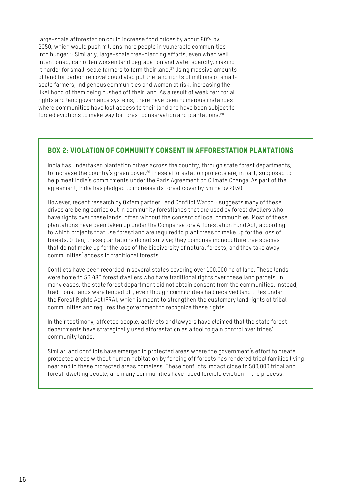large-scale afforestation could increase food prices by about 80% by 2050, which would push millions more people in vulnerable communities into hunger.26 Similarly, large-scale tree-planting efforts, even when well intentioned, can often worsen land degradation and water scarcity, making it harder for small-scale farmers to farm their land.<sup>27</sup> Using massive amounts of land for carbon removal could also put the land rights of millions of smallscale farmers, Indigenous communities and women at risk, increasing the likelihood of them being pushed off their land. As a result of weak territorial rights and land governance systems, there have been numerous instances where communities have lost access to their land and have been subject to forced evictions to make way for forest conservation and plantations.28

### Box 2: Violation of community consent in afforestation plantations

India has undertaken plantation drives across the country, through state forest departments, to increase the country's green cover.<sup>29</sup> These afforestation projects are, in part, supposed to help meet India's commitments under the Paris Agreement on Climate Change. As part of the agreement, India has pledged to increase its forest cover by 5m ha by 2030.

However, recent research by Oxfam partner Land Conflict Watch<sup>30</sup> suggests many of these drives are being carried out in community forestlands that are used by forest dwellers who have rights over these lands, often without the consent of local communities. Most of these plantations have been taken up under the Compensatory Afforestation Fund Act, according to which projects that use forestland are required to plant trees to make up for the loss of forests. Often, these plantations do not survive; they comprise monoculture tree species that do not make up for the loss of the biodiversity of natural forests, and they take away communities' access to traditional forests.

Conflicts have been recorded in several states covering over 100,000 ha of land. These lands were home to 56,480 forest dwellers who have traditional rights over these land parcels. In many cases, the state forest department did not obtain consent from the communities. Instead, traditional lands were fenced off, even though communities had received land titles under the Forest Rights Act (FRA), which is meant to strengthen the customary land rights of tribal communities and requires the government to recognize these rights.

In their testimony, affected people, activists and lawyers have claimed that the state forest departments have strategically used afforestation as a tool to gain control over tribes' community lands.

Similar land conflicts have emerged in protected areas where the government's effort to create protected areas without human habitation by fencing off forests has rendered tribal families living near and in these protected areas homeless. These conflicts impact close to 500,000 tribal and forest-dwelling people, and many communities have faced forcible eviction in the process.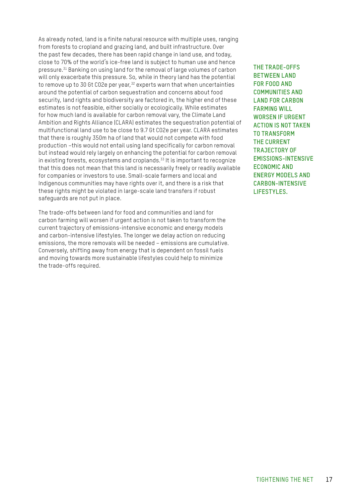As already noted, land is a finite natural resource with multiple uses, ranging from forests to cropland and grazing land, and built infrastructure. Over the past few decades, there has been rapid change in land use, and today, close to 70% of the world's ice-free land is subject to human use and hence pressure.31 Banking on using land for the removal of large volumes of carbon will only exacerbate this pressure. So, while in theory land has the potential to remove up to 30 Gt CO2e per year,<sup>32</sup> experts warn that when uncertainties around the potential of carbon sequestration and concerns about food security, land rights and biodiversity are factored in, the higher end of these estimates is not feasible, either socially or ecologically. While estimates for how much land is available for carbon removal vary, the Climate Land Ambition and Rights Alliance (CLARA) estimates the sequestration potential of multifunctional land use to be close to 9.7 Gt CO2e per year. CLARA estimates that there is roughly 350m ha of land that would not compete with food production –this would not entail using land specifically for carbon removal but instead would rely largely on enhancing the potential for carbon removal in existing forests, ecosystems and croplands.<sup>33</sup> It is important to recognize that this does not mean that this land is necessarily freely or readily available for companies or investors to use. Small-scale farmers and local and Indigenous communities may have rights over it, and there is a risk that these rights might be violated in large-scale land transfers if robust safeguards are not put in place.

The trade-offs between land for food and communities and land for carbon farming will worsen if urgent action is not taken to transform the current trajectory of emissions-intensive economic and energy models and carbon-intensive lifestyles. The longer we delay action on reducing emissions, the more removals will be needed – emissions are cumulative. Conversely, shifting away from energy that is dependent on fossil fuels and moving towards more sustainable lifestyles could help to minimize the trade-offs required.

**THE TRADE-OFFS BETWEEN LAND FOR FOOD AND COMMUNITIES AND LAND FOR CARBON FARMING WILL WORSEN IF URGENT ACTION IS NOT TAKEN TO TRANSFORM THE CURRENT TRAJECTORY OF EMISSIONS-INTENSIVE ECONOMIC AND ENERGY MODELS AND CARBON-INTENSIVE LIFESTYLES.**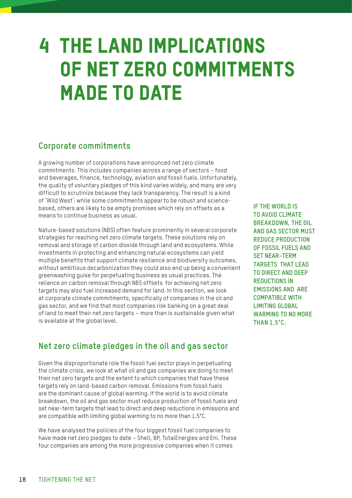### <span id="page-17-0"></span>4 THE LAND IMPLICATIONS OF NET ZERO COMMITMENTS MADE TO DATE

### **Corporate commitments**

A growing number of corporations have announced net zero climate commitments. This includes companies across a range of sectors – food and beverages, finance, technology, aviation and fossil fuels. Unfortunately, the quality of voluntary pledges of this kind varies widely, and many are very difficult to scrutinize because they lack transparency. The result is a kind of 'Wild West': while some commitments appear to be robust and sciencebased, others are likely to be empty promises which rely on offsets as a means to continue business as usual.

Nature-based solutions (NBS) often feature prominently in several corporate strategies for reaching net zero climate targets. These solutions rely on removal and storage of carbon dioxide through land and ecosystems. While investments in protecting and enhancing natural ecosystems can yield multiple benefits that support climate resilience and biodiversity outcomes, without ambitious decarbonization they could also end up being a convenient greenwashing guise for perpetuating business as usual practices. The reliance on carbon removal through NBS offsets for achieving net zero targets may also fuel increased demand for land. In this section, we look at corporate climate commitments, specifically of companies in the oil and gas sector, and we find that most companies risk banking on a great deal of land to meet their net zero targets – more than is sustainable given what is available at the global level.

**Net zero climate pledges in the oil and gas sector**

Given the disproportionate role the fossil fuel sector plays in perpetuating the climate crisis, we look at what oil and gas companies are doing to meet their net zero targets and the extent to which companies that have these targets rely on land-based carbon removal. Emissions from fossil fuels are the dominant cause of global warming. If the world is to avoid climate breakdown, the oil and gas sector must reduce production of fossil fuels and set near-term targets that lead to direct and deep reductions in emissions and are compatible with limiting global warming to no more than 1.5°C.

We have analysed the policies of the four biggest fossil fuel companies to have made net zero pledges to date – Shell, BP, TotalEnergies and Eni. These four companies are among the more progressive companies when it comes

**IF THE WORLD IS TO AVOID CLIMATE BREAKDOWN, THE OIL AND GAS SECTOR MUST REDUCE PRODUCTION OF FOSSIL FUELS AND SET NEAR-TERM TARGETS THAT LEAD TO DIRECT AND DEEP REDUCTIONS IN EMISSIONS AND ARE COMPATIBLE WITH LIMITING GLOBAL WARMING TO NO MORE THAN 1.5°C.**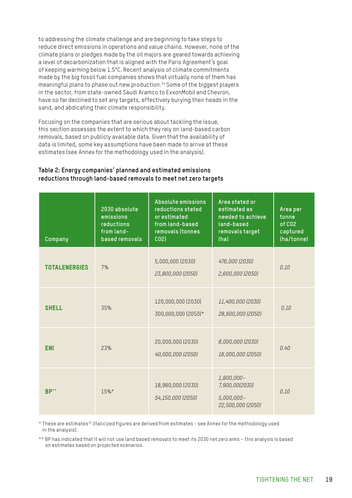to addressing the climate challenge and are beginning to take steps to reduce direct emissions in operations and value chains. However, none of the climate plans or pledges made by the oil majors are geared towards achieving a level of decarbonization that is aligned with the Paris Agreement's goal of keeping warming below 1.5°C. Recent analysis of climate commitments made by the big fossil fuel companies shows that virtually none of them has meaningful plans to phase out new production.34 Some of the biggest players in the sector, from state-owned Saudi Aramco to ExxonMobil and Chevron, have so far declined to set any targets, effectively burying their heads in the sand, and abdicating their climate responsibility.

Focusing on the companies that are serious about tackling the issue, this section assesses the extent to which they rely on land-based carbon removals, based on publicly available data. Given that the availability of data is limited, some key assumptions have been made to arrive at these estimates (see Annex for the methodology used in the analysis).

### **Table 2: Energy companies' planned and estimated emissions reductions through land-based removals to meet net zero targets**

| Company              | 2030 absolute<br>emissions<br>reductions<br>from land-<br>based removals | Absolute emissions<br>reductions stated<br>or estimated<br>from land-based<br>removals (tonnes<br>CO <sub>2</sub> | Area stated or<br>estimated as<br>needed to achieve<br>land-based<br>removals target<br>(ha) | Area per<br>tonne<br>of CO <sub>2</sub><br>captured<br>(ha/tonne) |
|----------------------|--------------------------------------------------------------------------|-------------------------------------------------------------------------------------------------------------------|----------------------------------------------------------------------------------------------|-------------------------------------------------------------------|
| <b>TOTALENERGIES</b> | 7%                                                                       | 5,000,000 (2030)<br>23,800,000 (2050)                                                                             | 476,000 (2030)<br>2,600,000 (2050)                                                           | 0.10                                                              |
| <b>SHELL</b>         | 35%                                                                      | 120,000,000 (2030)<br>300,000,000 (2050)*                                                                         | 11,400,000 (2030)<br>28,600,000 (2050)                                                       | 0.10                                                              |
| <b>ENI</b>           | 23%                                                                      | 20,000,000 (2030)<br>40,000,000 (2050)                                                                            | 8,000,000 (2030)<br>16,000,000 (2050)                                                        | 0.40                                                              |
| <b>BP**</b>          | 15%*                                                                     | 18,960,000 (2030)<br>54,150,000 (2050)                                                                            | 1,800,000-<br>7,900,00(2030)<br>5,000,000-<br>22,500,000 (2050)                              | 0.10                                                              |

\* These are estimates35 (Italicized figures are derived from estimates - see Annex for the methodology used in the analysis).

\*\* BP has indicated that it will not use land based removals to meet its 2030 net zero aims – this analysis is based on estimates based on projected scenarios.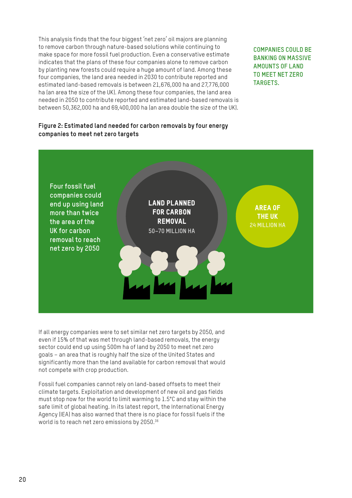This analysis finds that the four biggest 'net zero' oil majors are planning to remove carbon through nature-based solutions while continuing to make space for more fossil fuel production. Even a conservative estimate indicates that the plans of these four companies alone to remove carbon by planting new forests could require a huge amount of land. Among these four companies, the land area needed in 2030 to contribute reported and estimated land-based removals is between 21,676,000 ha and 27,776,000 ha (an area the size of the UK). Among these four companies, the land area needed in 2050 to contribute reported and estimated land-based removals is between 50,362,000 ha and 69,400,000 ha (an area double the size of the UK).

**COMPANIES COULD BE BANKING ON MASSIVE AMOUNTS OF LAND TO MEET NET ZERO TARGETS.**

### **Figure 2: Estimated land needed for carbon removals by four energy companies to meet net zero targets**



If all energy companies were to set similar net zero targets by 2050, and even if 15% of that was met through land-based removals, the energy sector could end up using 500m ha of land by 2050 to meet net zero goals – an area that is roughly half the size of the United States and significantly more than the land available for carbon removal that would not compete with crop production.

Fossil fuel companies cannot rely on land-based offsets to meet their climate targets. Exploitation and development of new oil and gas fields must stop now for the world to limit warming to 1.5°C and stay within the safe limit of global heating. In its latest report, the International Energy Agency (IEA) has also warned that there is no place for fossil fuels if the world is to reach net zero emissions by 2050.36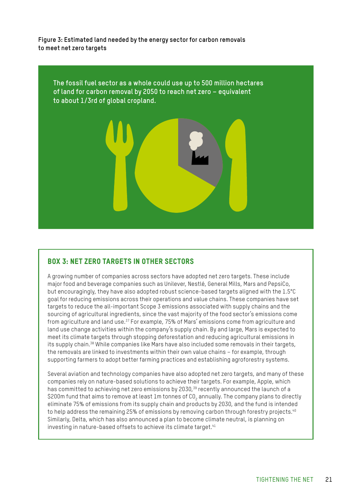**Figure 3: Estimated land needed by the energy sector for carbon removals to meet net zero targets**



### Box 3: Net zero targets in other sectors

A growing number of companies across sectors have adopted net zero targets. These include major food and beverage companies such as Unilever, Nestlé, General Mills, Mars and PepsiCo, but encouragingly, they have also adopted robust science-based targets aligned with the 1.5°C goal for reducing emissions across their operations and value chains. These companies have set targets to reduce the all-important Scope 3 emissions associated with supply chains and the sourcing of agricultural ingredients, since the vast majority of the food sector's emissions come from agriculture and land use.37 For example, 75% of Mars' emissions come from agriculture and land use change activities within the company's supply chain. By and large, Mars is expected to meet its climate targets through stopping deforestation and reducing agricultural emissions in its supply chain.38 While companies like Mars have also included some removals in their targets, the removals are linked to investments within their own value chains – for example, through supporting farmers to adopt better farming practices and establishing agroforestry systems.

Several aviation and technology companies have also adopted net zero targets, and many of these companies rely on nature-based solutions to achieve their targets. For example, Apple, which has committed to achieving net zero emissions by 2030,<sup>39</sup> recently announced the launch of a \$200m fund that aims to remove at least 1m tonnes of CO<sub>2</sub> annually. The company plans to directly eliminate 75% of emissions from its supply chain and products by 2030, and the fund is intended to help address the remaining 25% of emissions by removing carbon through forestry projects.<sup>40</sup> Similarly, Delta, which has also announced a plan to become climate neutral, is planning on investing in nature-based offsets to achieve its climate target.<sup>41</sup>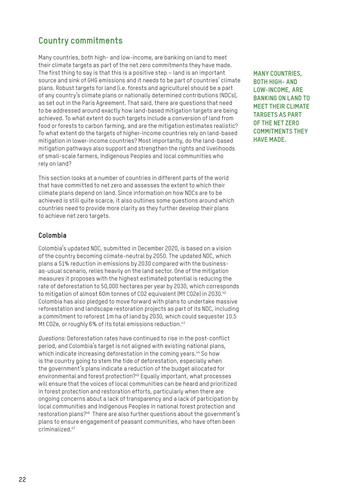### **Country commitments**

Many countries, both high- and low-income, are banking on land to meet their climate targets as part of the net zero commitments they have made. The first thing to say is that this is a positive step – land is an important source and sink of GHG emissions and it needs to be part of countries' climate plans. Robust targets for land (i.e. forests and agriculture) should be a part of any country's climate plans or nationally determined contributions (NDCs), as set out in the Paris Agreement. That said, there are questions that need to be addressed around exactly how land-based mitigation targets are being achieved. To what extent do such targets include a conversion of land from food or forests to carbon farming, and are the mitigation estimates realistic? To what extent do the targets of higher-income countries rely on land-based mitigation in lower-income countries? Most importantly, do the land-based mitigation pathways also support and strengthen the rights and livelihoods of small-scale farmers, Indigenous Peoples and local communities who rely on land?

This section looks at a number of countries in different parts of the world that have committed to net zero and assesses the extent to which their climate plans depend on land. Since information on how NDCs are to be achieved is still quite scarce, it also outlines some questions around which countries need to provide more clarity as they further develop their plans to achieve net zero targets.

### **Colombia**

Colombia's updated NDC, submitted in December 2020, is based on a vision of the country becoming climate-neutral by 2050. The updated NDC, which plans a 51% reduction in emissions by 2030 compared with the businessas-usual scenario, relies heavily on the land sector. One of the mitigation measures it proposes with the highest estimated potential is reducing the rate of deforestation to 50,000 hectares per year by 2030, which corresponds to mitigation of almost 60m tonnes of CO2 equivalent (Mt CO2e) in 2030.42 Colombia has also pledged to move forward with plans to undertake massive reforestation and landscape restoration projects as part of its NDC, including a commitment to reforest 1m ha of land by 2030, which could sequester 10.5 Mt CO2e, or roughly 6% of its total emissions reduction.<sup>43</sup>

*Questions:* Deforestation rates have continued to rise in the post-conflict period, and Colombia's target is not aligned with existing national plans, which indicate increasing deforestation in the coming years.<sup>44</sup> So how is the country going to stem the tide of deforestation, especially when the government's plans indicate a reduction of the budget allocated for environmental and forest protection?<sup>45</sup> Equally important, what processes will ensure that the voices of local communities can be heard and prioritized in forest protection and restoration efforts, particularly when there are ongoing concerns about a lack of transparency and a lack of participation by local communities and Indigenous Peoples in national forest protection and restoration plans?<sup>46</sup> There are also further questions about the government's plans to ensure engagement of peasant communities, who have often been criminalized.47

**MANY COUNTRIES, BOTH HIGH- AND LOW-INCOME, ARE BANKING ON LAND TO MEET THEIR CLIMATE TARGETS AS PART OF THE NET ZERO COMMITMENTS THEY HAVE MADE.**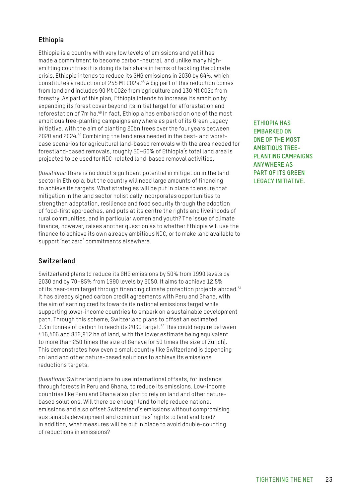### **Ethiopia**

Ethiopia is a country with very low levels of emissions and yet it has made a commitment to become carbon-neutral, and unlike many highemitting countries it is doing its fair share in terms of tackling the climate crisis. Ethiopia intends to reduce its GHG emissions in 2030 by 64%, which constitutes a reduction of 255 Mt CO2e.48 A big part of this reduction comes from land and includes 90 Mt CO2e from agriculture and 130 Mt CO2e from forestry. As part of this plan, Ethiopia intends to increase its ambition by expanding its forest cover beyond its initial target for afforestation and reforestation of 7m ha.<sup>49</sup> In fact, Ethiopia has embarked on one of the most ambitious tree-planting campaigns anywhere as part of its Green Legacy initiative, with the aim of planting 20bn trees over the four years between 2020 and 2024.50 Combining the land area needed in the best- and worstcase scenarios for agricultural land-based removals with the area needed for forestland-based removals, roughly 50–60% of Ethiopia's total land area is projected to be used for NDC-related land-based removal activities.

*Questions:* There is no doubt significant potential in mitigation in the land sector in Ethiopia, but the country will need large amounts of financing to achieve its targets. What strategies will be put in place to ensure that mitigation in the land sector holistically incorporates opportunities to strengthen adaptation, resilience and food security through the adoption of food-first approaches, and puts at its centre the rights and livelihoods of rural communities, and in particular women and youth? The issue of climate finance, however, raises another question as to whether Ethiopia will use the finance to achieve its own already ambitious NDC, or to make land available to support 'net zero' commitments elsewhere.

### **Switzerland**

Switzerland plans to reduce its GHG emissions by 50% from 1990 levels by 2030 and by 70–85% from 1990 levels by 2050. It aims to achieve 12.5% of its near-term target through financing climate protection projects abroad.<sup>51</sup> It has already signed carbon credit agreements with Peru and Ghana, with the aim of earning credits towards its national emissions target while supporting lower-income countries to embark on a sustainable development path. Through this scheme, Switzerland plans to offset an estimated 3.3m tonnes of carbon to reach its 2030 target.52 This could require between 416,406 and 832,812 ha of land, with the lower estimate being equivalent to more than 250 times the size of Geneva (or 50 times the size of Zurich). This demonstrates how even a small country like Switzerland is depending on land and other nature-based solutions to achieve its emissions reductions targets.

*Questions:* Switzerland plans to use international offsets, for instance through forests in Peru and Ghana, to reduce its emissions. Low-income countries like Peru and Ghana also plan to rely on land and other naturebased solutions. Will there be enough land to help reduce national emissions and also offset Switzerland's emissions without compromising sustainable development and communities' rights to land and food? In addition, what measures will be put in place to avoid double-counting of reductions in emissions?

**ETHIOPIA HAS EMBARKED ON ONE OF THE MOST AMBITIOUS TREE-PLANTING CAMPAIGNS ANYWHERE AS PART OF ITS GREEN LEGACY INITIATIVE.**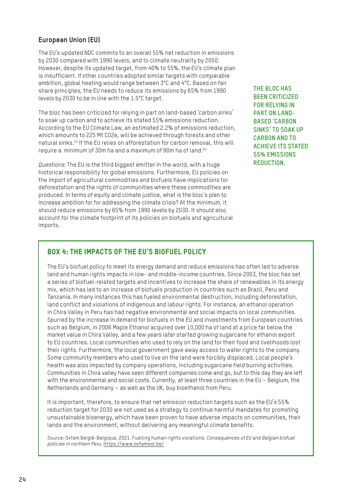### **European Union (EU)**

The EU's updated NDC commits to an overall 55% net reduction in emissions by 2030 compared with 1990 levels, and to climate neutrality by 2050. However, despite its updated target, from 40% to 55%, the EU's climate plan is insufficient. If other countries adopted similar targets with comparable ambition, global heating would range between 3°C and 4°C. Based on fair share principles, the EU needs to reduce its emissions by 65% from 1990 levels by 2030 to be in line with the 1.5°C target.

The bloc has been criticized for relying in part on land-based 'carbon sinks' to soak up carbon and to achieve its stated 55% emissions reduction. According to the EU Climate Law, an estimated 2.2% of emissions reduction, which amounts to 225 Mt CO2e, will be achieved through forests and other natural sinks.53 If the EU relies on afforestation for carbon removal, this will require a minimum of 30m ha and a maximum of 90m ha of land.<sup>54</sup>

*Questions:* The EU is the third biggest emitter in the world, with a huge historical responsibility for global emissions. Furthermore, EU policies on the import of agricultural commodities and biofuels have implications for deforestation and the rights of communities where these commodities are produced. In terms of equity and climate justice, what is the bloc's plan to increase ambition for for addressing the climate crisis? At the minimum, it should reduce emissions by 65% from 1990 levels by 2030. It should also account for the climate footprint of its policies on biofuels and agricultural imports.

**THE BLOC HAS BEEN CRITICIZED FOR RELYING IN PART ON LAND-BASED 'CARBON SINKS' TO SOAK UP CARBON AND TO ACHIEVE ITS STATED 55% EMISSIONS REDUCTION.**

### Box 4: The impacts of the EU's biofuel policy

The EU's biofuel policy to meet its energy demand and reduce emissions has often led to adverse land and human rights impacts in low- and middle-income countries. Since 2003, the bloc has set a series of biofuel-related targets and incentives to increase the share of renewables in its energy mix, which has led to an increase of biofuels production in countries such as Brazil, Peru and Tanzania. In many instances this has fueled environmental destruction, including deforestation, land conflict and violations of indigenous and labour rights. For instance, an ethanol operation in Chira Valley in Peru has had negative environmental and social impacts on local communities. Spurred by the increase in demand for biofuels in the EU and investments from European countries such as Belgium, in 2006 Maple Ethanol acquired over 10,000 ha of land at a price far below the market value in Chira Valley, and a few years later started growing sugarcane for ethanol export to EU countries. Local communities who used to rely on the land for their food and livelihoods lost their rights. Furthermore, the local government gave away access to water rights to the company. Some community members who used to live on the land were forcibly displaced. Local people's health was also impacted by company operations, including sugarcane field burning activities. Communities in Chira valley have seen different companies come and go, but to this day they are left with the environmental and social costs. Currently, at least three countries in the EU – Belgium, the Netherlands and Germany – as well as the UK, buy bioethanol from Peru.

It is important, therefore, to ensure that net emission reduction targets such as the EU's 55% reduction target for 2030 are not used as a strategy to continue harmful mandates for promoting unsustainable bioenergy, which have been proven to have adverse impacts on communities, their lands and the environment, without delivering any meaningful climate benefits.

Source: Oxfam België-Belgique, 2021. Fuelling human rights violations: *Consequences of EU and Belgian biofuel policies in northern Peru*. [https://www.oxfamsol.be/](mailto:/?subject=)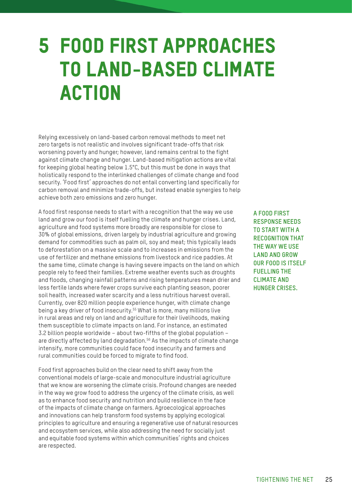### <span id="page-24-0"></span>5 FOOD FIRST APPROACHES TO LAND-BASED CLIMATE ACTION

Relying excessively on land-based carbon removal methods to meet net zero targets is not realistic and involves significant trade-offs that risk worsening poverty and hunger; however, land remains central to the fight against climate change and hunger. Land-based mitigation actions are vital for keeping global heating below 1.5°C, but this must be done in ways that holistically respond to the interlinked challenges of climate change and food security. 'Food first' approaches do not entail converting land specifically for carbon removal and minimize trade-offs, but instead enable synergies to help achieve both zero emissions and zero hunger.

A food first response needs to start with a recognition that the way we use land and grow our food is itself fuelling the climate and hunger crises. Land, agriculture and food systems more broadly are responsible for close to 30% of global emissions, driven largely by industrial agriculture and growing demand for commodities such as palm oil, soy and meat; this typically leads to deforestation on a massive scale and to increases in emissions from the use of fertilizer and methane emissions from livestock and rice paddies. At the same time, climate change is having severe impacts on the land on which people rely to feed their families. Extreme weather events such as droughts and floods, changing rainfall patterns and rising temperatures mean drier and less fertile lands where fewer crops survive each planting season, poorer soil health, increased water scarcity and a less nutritious harvest overall. Currently, over 820 million people experience hunger, with climate change being a key driver of food insecurity.<sup>55</sup> What is more, many millions live in rural areas and rely on land and agriculture for their livelihoods, making them susceptible to climate impacts on land. For instance, an estimated 3.2 billion people worldwide – about two-fifths of the global population – are directly affected by land degradation.<sup>56</sup> As the impacts of climate change intensify, more communities could face food insecurity and farmers and rural communities could be forced to migrate to find food.

Food first approaches build on the clear need to shift away from the conventional models of large-scale and monoculture industrial agriculture that we know are worsening the climate crisis. Profound changes are needed in the way we grow food to address the urgency of the climate crisis, as well as to enhance food security and nutrition and build resilience in the face of the impacts of climate change on farmers. Agroecological approaches and innovations can help transform food systems by applying ecological principles to agriculture and ensuring a regenerative use of natural resources and ecosystem services, while also addressing the need for socially just and equitable food systems within which communities' rights and choices are respected.

**A FOOD FIRST RESPONSE NEEDS TO START WITH A RECOGNITION THAT THE WAY WE USE LAND AND GROW OUR FOOD IS ITSELF FUELLING THE CLIMATE AND HUNGER CRISES.**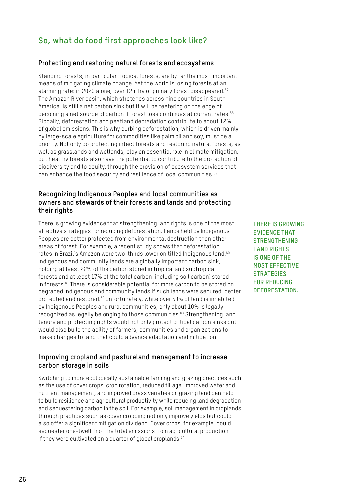### **So, what do food first approaches look like?**

### **Protecting and restoring natural forests and ecosystems**

Standing forests, in particular tropical forests, are by far the most important means of mitigating climate change. Yet the world is losing forests at an alarming rate: in 2020 alone, over 12m ha of primary forest disappeared.<sup>57</sup> The Amazon River basin, which stretches across nine countries in South America, is still a net carbon sink but it will be teetering on the edge of becoming a net source of carbon if forest loss continues at current rates.<sup>58</sup> Globally, deforestation and peatland degradation contribute to about 12% of global emissions. This is why curbing deforestation, which is driven mainly by large-scale agriculture for commodities like palm oil and soy, must be a priority. Not only do protecting intact forests and restoring natural forests, as well as grasslands and wetlands, play an essential role in climate mitigation, but healthy forests also have the potential to contribute to the protection of biodiversity and to equity, through the provision of ecosystem services that can enhance the food security and resilience of local communities.<sup>59</sup>

### **Recognizing Indigenous Peoples and local communities as owners and stewards of their forests and lands and protecting their rights**

There is growing evidence that strengthening land rights is one of the most effective strategies for reducing deforestation. Lands held by Indigenous Peoples are better protected from environmental destruction than other areas of forest. For example, a recent study shows that deforestation rates in Brazil's Amazon were two-thirds lower on titled Indigenous land.<sup>60</sup> Indigenous and community lands are a globally important carbon sink, holding at least 22% of the carbon stored in tropical and subtropical forests and at least 17% of the total carbon (including soil carbon) stored in forests.61 There is considerable potential for more carbon to be stored on degraded Indigenous and community lands if such lands were secured, better protected and restored.62 Unfortunately, while over 50% of land is inhabited by Indigenous Peoples and rural communities, only about 10% is legally recognized as legally belonging to those communities.<sup>63</sup> Strengthening land tenure and protecting rights would not only protect critical carbon sinks but would also build the ability of farmers, communities and organizations to make changes to land that could advance adaptation and mitigation.

### **Improving cropland and pastureland management to increase carbon storage in soils**

Switching to more ecologically sustainable farming and grazing practices such as the use of cover crops, crop rotation, reduced tillage, improved water and nutrient management, and improved grass varieties on grazing land can help to build resilience and agricultural productivity while reducing land degradation and sequestering carbon in the soil. For example, soil management in croplands through practices such as cover cropping not only improve yields but could also offer a significant mitigation dividend. Cover crops, for example, could sequester one-twelfth of the total emissions from agricultural production if they were cultivated on a quarter of global croplands. $64$ 

**THERE IS GROWING EVIDENCE THAT STRENGTHENING LAND RIGHTS IS ONE OF THE MOST EFFECTIVE STRATEGIES FOR REDUCING DEFORESTATION.**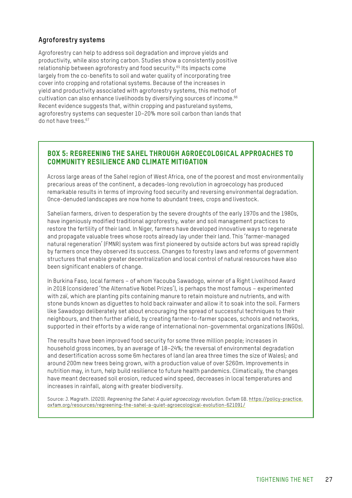### **Agroforestry systems**

Agroforestry can help to address soil degradation and improve yields and productivity, while also storing carbon. Studies show a consistently positive relationship between agroforestry and food security.65 Its impacts come largely from the co-benefits to soil and water quality of incorporating tree cover into cropping and rotational systems. Because of the increases in yield and productivity associated with agroforestry systems, this method of cultivation can also enhance livelihoods by diversifying sources of income.<sup>66</sup> Recent evidence suggests that, within cropping and pastureland systems, agroforestry systems can sequester 10–20% more soil carbon than lands that do not have trees.67

### Box 5: Regreening the Sahel through agroecological approaches to community resilience and climate mitigation

Across large areas of the Sahel region of West Africa, one of the poorest and most environmentally precarious areas of the continent, a decades-long revolution in agroecology has produced remarkable results in terms of improving food security and reversing environmental degradation. Once-denuded landscapes are now home to abundant trees, crops and livestock.

Sahelian farmers, driven to desperation by the severe droughts of the early 1970s and the 1980s, have ingeniously modified traditional agroforestry, water and soil management practices to restore the fertility of their land. In Niger, farmers have developed innovative ways to regenerate and propagate valuable trees whose roots already lay under their land. This 'farmer-managed natural regeneration' (FMNR) system was first pioneered by outside actors but was spread rapidly by farmers once they observed its success. Changes to forestry laws and reforms of government structures that enable greater decentralization and local control of natural resources have also been significant enablers of change.

In Burkina Faso, local farmers – of whom Yacouba Sawadogo, winner of a Right Livelihood Award in 2018 (considered 'the Alternative Nobel Prizes'), is perhaps the most famous – experimented with zaï, which are planting pits containing manure to retain moisture and nutrients, and with stone bunds known as diguettes to hold back rainwater and allow it to soak into the soil. Farmers like Sawadogo deliberately set about encouraging the spread of successful techniques to their neighbours, and then further afield, by creating farmer-to-farmer spaces, schools and networks, supported in their efforts by a wide range of international non-governmental organizations (INGOs).

The results have been improved food security for some three million people; increases in household gross incomes, by an average of 18–24%; the reversal of environmental degradation and desertification across some 6m hectares of land (an area three times the size of Wales); and around 200m new trees being grown, with a production value of over \$260m. Improvements in nutrition may, in turn, help build resilience to future health pandemics. Climatically, the changes have meant decreased soil erosion, reduced wind speed, decreases in local temperatures and increases in rainfall, along with greater biodiversity.

Source: J. Magrath. (2020). *Regreening the Sahel: A quiet agroecology revolution*. Oxfam GB. [https://policy-practice.](https://policy-practice.oxfam.org/resources/regreening-the-sahel-a-quiet-agroecological-evolution-621091/) [oxfam.org/resources/regreening-the-sahel-a-quiet-agroecological-evolution-621091/](https://policy-practice.oxfam.org/resources/regreening-the-sahel-a-quiet-agroecological-evolution-621091/)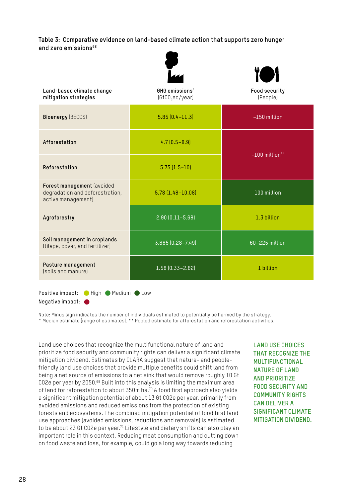**Table 3: Comparative evidence on land-based climate action that supports zero hunger and zero emissions68**

|                                                                                     |                                               | ïO1                       |  |
|-------------------------------------------------------------------------------------|-----------------------------------------------|---------------------------|--|
| Land-based climate change<br>mitigation strategies                                  | GHG emissions'<br>[GtCO <sub>2</sub> eq/year] | Food security<br>(People) |  |
| <b>Bioenergy (BECCS)</b>                                                            | $5.85(0.4 - 11.3)$                            | $-150$ million            |  |
| Afforestation                                                                       | $4.7(0.5 - 8.9)$                              | $-100$ million**          |  |
| Reforestation                                                                       | $5.75(1.5-10)$                                |                           |  |
| Forest management (avoided<br>degradation and deforestration,<br>active management) | $5.78(1.48 - 10.08)$                          | 100 million               |  |
| Agroforestry                                                                        | $2.90(0.11 - 5.68)$                           | 1.3 billion               |  |
| Soil management in croplands<br>(tilage, cover, and fertilizer)                     | 3.885 (0.28-7.49)                             | 60-225 million            |  |
| Pasture management<br><i><b>Isoils and manurel</b></i>                              | $1.58(0.33 - 2.82)$                           | 1 billion                 |  |
|                                                                                     |                                               |                           |  |

Positive impact: High Medium CLow Negative impact:  $\bullet$ 

Note: Minus sign indicates the number of individuals estimated to potentially be harmed by the strategy. \* Median estimate (range of estimates). \*\* Pooled estimate for afforestation and reforestation activities.

Land use choices that recognize the multifunctional nature of land and prioritize food security and community rights can deliver a significant climate mitigation dividend. Estimates by CLARA suggest that nature- and peoplefriendly land use choices that provide multiple benefits could shift land from being a net source of emissions to a net sink that would remove roughly 10 Gt CO2e per year by 2050.<sup>69</sup> Built into this analysis is limiting the maximum area of land for reforestation to about 350m ha.<sup>70</sup> A food first approach also yields a significant mitigation potential of about 13 Gt CO2e per year, primarily from avoided emissions and reduced emissions from the protection of existing forests and ecosystems. The combined mitigation potential of food first land use approaches (avoided emissions, reductions and removals) is estimated to be about 23 Gt CO2e per year.71 Lifestyle and dietary shifts can also play an important role in this context. Reducing meat consumption and cutting down on food waste and loss, for example, could go a long way towards reducing

**LAND USE CHOICES THAT RECOGNIZE THE MULTIFUNCTIONAL NATURE OF LAND AND PRIORITIZE FOOD SECURITY AND COMMUNITY RIGHTS CAN DELIVER A SIGNIFICANT CLIMATE MITIGATION DIVIDEND.**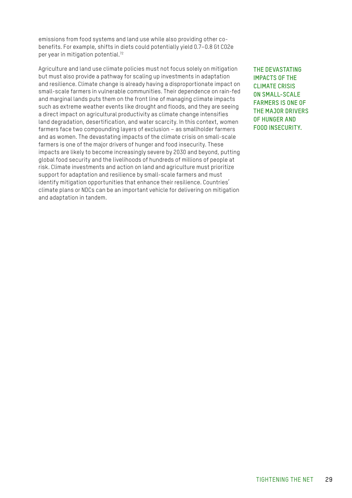emissions from food systems and land use while also providing other cobenefits. For example, shifts in diets could potentially yield 0.7–0.8 Gt CO2e per year in mitigation potential.<sup>72</sup>

Agriculture and land use climate policies must not focus solely on mitigation but must also provide a pathway for scaling up investments in adaptation and resilience. Climate change is already having a disproportionate impact on small-scale farmers in vulnerable communities. Their dependence on rain-fed and marginal lands puts them on the front line of managing climate impacts such as extreme weather events like drought and floods, and they are seeing a direct impact on agricultural productivity as climate change intensifies land degradation, desertification, and water scarcity. In this context, women farmers face two compounding layers of exclusion – as smallholder farmers and as women. The devastating impacts of the climate crisis on small-scale farmers is one of the major drivers of hunger and food insecurity. These impacts are likely to become increasingly severe by 2030 and beyond, putting global food security and the livelihoods of hundreds of millions of people at risk. Climate investments and action on land and agriculture must prioritize support for adaptation and resilience by small-scale farmers and must identify mitigation opportunities that enhance their resilience. Countries' climate plans or NDCs can be an important vehicle for delivering on mitigation and adaptation in tandem.

**THE DEVASTATING IMPACTS OF THE CLIMATE CRISIS ON SMALL-SCALE FARMERS IS ONE OF THE MAJOR DRIVERS OF HUNGER AND FOOD INSECURITY.**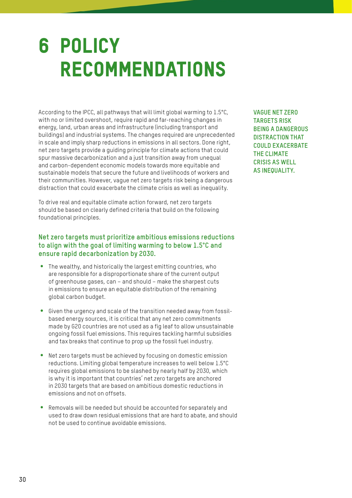### <span id="page-29-0"></span>6 POLICY RECOMMENDATIONS

According to the IPCC, all pathways that will limit global warming to 1.5°C, with no or limited overshoot, require rapid and far-reaching changes in energy, land, urban areas and infrastructure (including transport and buildings) and industrial systems. The changes required are unprecedented in scale and imply sharp reductions in emissions in all sectors. Done right, net zero targets provide a guiding principle for climate actions that could spur massive decarbonization and a just transition away from unequal and carbon-dependent economic models towards more equitable and sustainable models that secure the future and livelihoods of workers and their communities. However, vague net zero targets risk being a dangerous distraction that could exacerbate the climate crisis as well as inequality.

To drive real and equitable climate action forward, net zero targets should be based on clearly defined criteria that build on the following foundational principles.

### **Net zero targets must prioritize ambitious emissions reductions to align with the goal of limiting warming to below 1.5°C and ensure rapid decarbonization by 2030.**

- The wealthy, and historically the largest emitting countries, who are responsible for a disproportionate share of the current output of greenhouse gases, can – and should – make the sharpest cuts in emissions to ensure an equitable distribution of the remaining global carbon budget.
- Given the urgency and scale of the transition needed away from fossilbased energy sources, it is critical that any net zero commitments made by G20 countries are not used as a fig leaf to allow unsustainable ongoing fossil fuel emissions. This requires tackling harmful subsidies and tax breaks that continue to prop up the fossil fuel industry.
- Net zero targets must be achieved by focusing on domestic emission reductions. Limiting global temperature increases to well below 1.5°C requires global emissions to be slashed by nearly half by 2030, which is why it is important that countries' net zero targets are anchored in 2030 targets that are based on ambitious domestic reductions in emissions and not on offsets.
- Removals will be needed but should be accounted for separately and used to draw down residual emissions that are hard to abate, and should not be used to continue avoidable emissions.

**VAGUE NET ZERO TARGETS RISK BEING A DANGEROUS DISTRACTION THAT COULD EXACERBATE THE CLIMATE CRISIS AS WELL AS INEQUALITY.**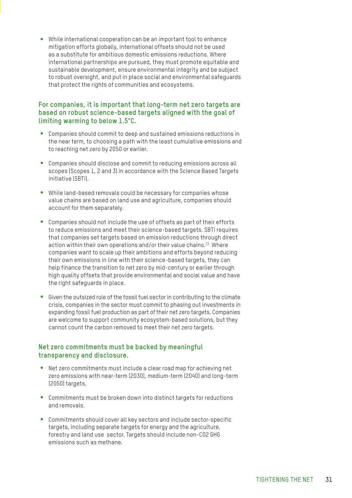y While international cooperation can be an important tool to enhance mitigation efforts globally, international offsets should not be used as a substitute for ambitious domestic emissions reductions. Where international partnerships are pursued, they must promote equitable and sustainable development, ensure environmental integrity and be subject to robust oversight, and put in place social and environmental safeguards that protect the rights of communities and ecosystems.

### **For companies, it is important that long-term net zero targets are based on robust science-based targets aligned with the goal of limiting warming to below 1.5°C.**

- y Companies should commit to deep and sustained emissions reductions in the near term, to choosing a path with the least cumulative emissions and to reaching net zero by 2050 or earlier.
- Companies should disclose and commit to reducing emissions across all scopes (Scopes 1, 2 and 3) in accordance with the Science Based Targets initiative (SBTi).
- While land-based removals could be necessary for companies whose value chains are based on land use and agriculture, companies should account for them separately.
- Companies should not include the use of offsets as part of their efforts to reduce emissions and meet their science-based targets. SBTi requires that companies set targets based on emission reductions through direct action within their own operations and/or their value chains.<sup>73</sup> Where companies want to scale up their ambitions and efforts beyond reducing their own emissions in line with their science-based targets, they can help finance the transition to net zero by mid-century or earlier through high quality offsets that provide environmental and social value and have the right safeguards in place.
- Given the outsized role of the fossil fuel sector in contributing to the climate crisis, companies in the sector must commit to phasing out investments in expanding fossil fuel production as part of their net zero targets. Companies are welcome to support community ecosystem-based solutions, but they cannot count the carbon removed to meet their net zero targets.

#### **Net zero commitments must be backed by meaningful transparency and disclosure.**

- Net zero commitments must include a clear road map for achieving net zero emissions with near-term (2030), medium-term (2040) and long-term (2050) targets.
- Commitments must be broken down into distinct targets for reductions and removals.
- Commitments should cover all key sectors and include sector-specific targets, including separate targets for energy and the agriculture, forestry and land use sector. Targets should include non-CO2 GHG emissions such as methane.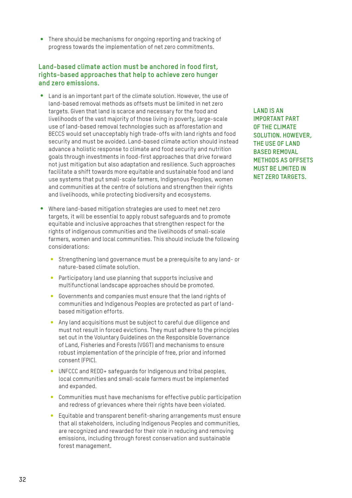• There should be mechanisms for ongoing reporting and tracking of progress towards the implementation of net zero commitments.

#### **Land-based climate action must be anchored in food first, rights-based approaches that help to achieve zero hunger and zero emissions.**

- Land is an important part of the climate solution. However, the use of land-based removal methods as offsets must be limited in net zero targets. Given that land is scarce and necessary for the food and livelihoods of the vast majority of those living in poverty, large-scale use of land-based removal technologies such as afforestation and BECCS would set unacceptably high trade-offs with land rights and food security and must be avoided. Land-based climate action should instead advance a holistic response to climate and food security and nutrition goals through investments in food-first approaches that drive forward not just mitigation but also adaptation and resilience. Such approaches facilitate a shift towards more equitable and sustainable food and land use systems that put small-scale farmers, Indigenous Peoples, women and communities at the centre of solutions and strengthen their rights and livelihoods, while protecting biodiversity and ecosystems.
- Where land-based mitigation strategies are used to meet net zero targets, it will be essential to apply robust safeguards and to promote equitable and inclusive approaches that strengthen respect for the rights of indigenous communities and the livelihoods of small-scale farmers, women and local communities. This should include the following considerations:
	- Strengthening land governance must be a prerequisite to any land- or nature-based climate solution.
	- Participatory land use planning that supports inclusive and multifunctional landscape approaches should be promoted.
	- Governments and companies must ensure that the land rights of communities and Indigenous Peoples are protected as part of landbased mitigation efforts.
	- Any land acquisitions must be subject to careful due diligence and must not result in forced evictions. They must adhere to the principles set out in the Voluntary Guidelines on the Responsible Governance of Land, Fisheries and Forests (VGGT) and mechanisms to ensure robust implementation of the principle of free, prior and informed consent (FPIC).
	- UNFCCC and REDD+ safeguards for Indigenous and tribal peoples, local communities and small-scale farmers must be implemented and expanded.
	- Communities must have mechanisms for effective public participation and redress of grievances where their rights have been violated.
	- Equitable and transparent benefit-sharing arrangements must ensure that all stakeholders, including Indigenous Peoples and communities, are recognized and rewarded for their role in reducing and removing emissions, including through forest conservation and sustainable forest management.

**LAND IS AN IMPORTANT PART OF THE CLIMATE SOLUTION. HOWEVER, THE USE OF LAND BASED REMOVAL METHODS AS OFFSETS MUST BE LIMITED IN NET ZERO TARGETS.**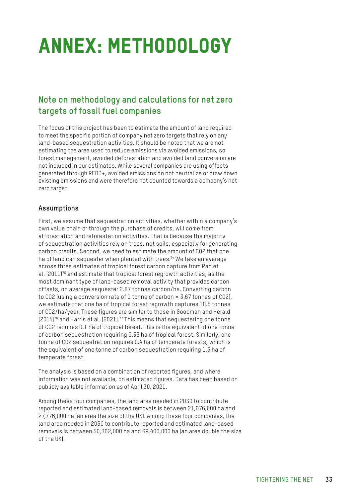## <span id="page-32-0"></span>ANNEX: METHODOLOGY

### **Note on methodology and calculations for net zero targets of fossil fuel companies**

The focus of this project has been to estimate the amount of land required to meet the specific portion of company net zero targets that rely on any land-based sequestration activities. It should be noted that we are not estimating the area used to reduce emissions via avoided emissions, so forest management, avoided deforestation and avoided land conversion are not included in our estimates. While several companies are using offsets generated through REDD+, avoided emissions do not neutralize or draw down existing emissions and were therefore not counted towards a company's net zero target.

### **Assumptions**

First, we assume that sequestration activities, whether within a company's own value chain or through the purchase of credits, will come from afforestation and reforestation activities. That is because the majority of sequestration activities rely on trees, not soils, especially for generating carbon credits. Second, we need to estimate the amount of CO2 that one ha of land can sequester when planted with trees.<sup>74</sup> We take an average across three estimates of tropical forest carbon capture from Pan et al. (2011)75 and estimate that tropical forest regrowth activities, as the most dominant type of land-based removal activity that provides carbon offsets, on average sequester 2.87 tonnes carbon/ha. Converting carbon to CO2 (using a conversion rate of 1 tonne of carbon = 3.67 tonnes of CO2), we estimate that one ha of tropical forest regrowth captures 10.5 tonnes of CO2/ha/year. These figures are similar to those in Goodman and Herald (2014)76 and Harris et al. (2021).77 This means that sequestering one tonne of CO2 requires 0.1 ha of tropical forest. This is the equivalent of one tonne of carbon sequestration requiring 0.35 ha of tropical forest. Similarly, one tonne of CO2 sequestration requires 0.4 ha of temperate forests, which is the equivalent of one tonne of carbon sequestration requiring 1.5 ha of temperate forest.

The analysis is based on a combination of reported figures, and where information was not available, on estimated figures. Data has been based on publicly available information as of April 30, 2021.

Among these four companies, the land area needed in 2030 to contribute reported and estimated land-based removals is between 21,676,000 ha and 27,776,000 ha (an area the size of the UK). Among these four companies, the land area needed in 2050 to contribute reported and estimated land-based removals is between 50,362,000 ha and 69,400,000 ha (an area double the size of the UK).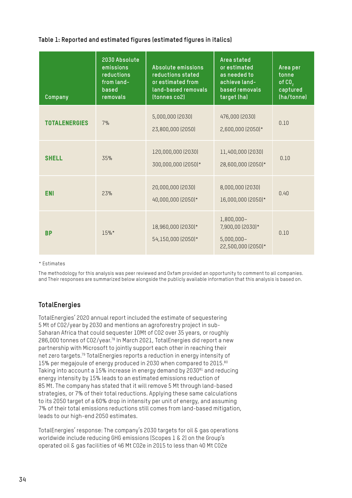### **Table 1: Reported and estimated figures (estimated figures in italics)**

| Company              | 2030 Absolute<br>emissions<br>reductions<br>from land-<br>based<br>removals | Absolute emissions<br>reductions stated<br>or estimated from<br>land-based removals<br>(tonnes co2) | Area stated<br>or estimated<br>as needed to<br>achieve land-<br>based removals<br>target (ha) | Area per<br>tonne<br>of $CO2$<br>captured<br>(ha/tonne) |
|----------------------|-----------------------------------------------------------------------------|-----------------------------------------------------------------------------------------------------|-----------------------------------------------------------------------------------------------|---------------------------------------------------------|
| <b>TOTALENERGIES</b> | 7%                                                                          | 5,000,000 (2030)<br>23,800,000 (2050)                                                               | 476,000 (2030)<br>2,600,000 (2050)*                                                           | 0.10                                                    |
| <b>SHELL</b>         | 35%                                                                         | 120,000,000 (2030)<br>300,000,000 (2050)*                                                           | 11,400,000 (2030)<br>28,600,000 (2050)*                                                       | 0.10                                                    |
| <b>ENI</b>           | 23%                                                                         | 20,000,000 (2030)<br>40,000,000 (2050)*                                                             | 8,000,000 (2030)<br>16,000,000 (2050)*                                                        | 0.40                                                    |
| <b>BP</b>            | 15%*                                                                        | 18,960,000 (2030)*<br>54,150,000 (2050)*                                                            | 1,800,000-<br>7,900,00 (2030)*<br>$5,000,000 -$<br>22,500,000 (2050)*                         | 0.10                                                    |

\* Estimates

The methodology for this analysis was peer reviewed and Oxfam provided an opportunity to comment to all companies. and Their responses are summarized below alongside the publicly available information that this analysis is based on.

### **TotalEnergies**

TotalEnergies' 2020 annual report included the estimate of sequestering 5 Mt of CO2/year by 2030 and mentions an agroforestry project in sub-Saharan Africa that could sequester 10Mt of CO2 over 35 years, or roughly 286,000 tonnes of CO2/year.78 In March 2021, TotalEnergies did report a new partnership with Microsoft to jointly support each other in reaching their net zero targets.79 TotalEnergies reports a reduction in energy intensity of 15% per megajoule of energy produced in 2030 when compared to 2015.80 Taking into account a 15% increase in energy demand by 2030<sup>81</sup> and reducing energy intensity by 15% leads to an estimated emissions reduction of 85 Mt. The company has stated that it will remove 5 Mt through land-based strategies, or 7% of their total reductions. Applying these same calculations to its 2050 target of a 60% drop in intensity per unit of energy, and assuming 7% of their total emissions reductions still comes from land-based mitigation, leads to our high-end 2050 estimates.

TotalEnergies' response: The company's 2030 targets for oil & gas operations worldwide include reducing GHG emissions (Scopes 1 & 2) on the Group's operated oil & gas facilities of 46 Mt CO2e in 2015 to less than 40 Mt CO2e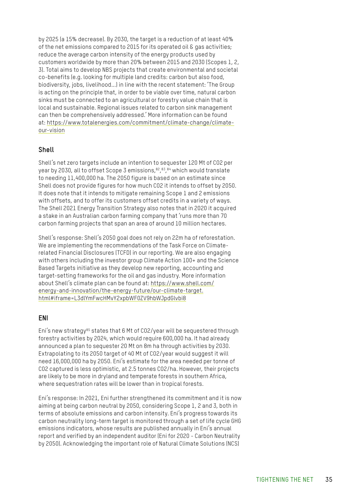by 2025 (a 15% decrease). By 2030, the target is a reduction of at least 40% of the net emissions compared to 2015 for its operated oil & gas activities; reduce the average carbon intensity of the energy products used by customers worldwide by more than 20% between 2015 and 2030 (Scopes 1, 2, 3). Total aims to develop NBS projects that create environmental and societal co-benefits (e.g. looking for multiple land credits: carbon but also food, biodiversity, jobs, livelihood...) in line with the recent statement: 'The Group is acting on the principle that, in order to be viable over time, natural carbon sinks must be connected to an agricultural or forestry value chain that is local and sustainable. Regional issues related to carbon sink management can then be comprehensively addressed.' More information can be found at: [https://www.totalenergies.com/commitment/climate-change/climate](https://www.totalenergies.com/commitment/climate-change/climate-our-vision)[our-vision](https://www.totalenergies.com/commitment/climate-change/climate-our-vision)

#### **Shell**

Shell's net zero targets include an intention to sequester 120 Mt of CO2 per year by 2030, all to offset Scope 3 emissions,82, 83, <sup>84</sup> which would translate to needing 11,400,000 ha. The 2050 figure is based on an estimate since Shell does not provide figures for how much CO2 it intends to offset by 2050. It does note that it intends to mitigate remaining Scope 1 and 2 emissions with offsets, and to offer its customers offset credits in a variety of ways. The Shell 2021 Energy Transition Strategy also notes that in 2020 it acquired a stake in an Australian carbon farming company that 'runs more than 70 carbon farming projects that span an area of around 10 million hectares.

Shell's response: Shell's 2050 goal does not rely on 22m ha of reforestation. We are implementing the recommendations of the Task Force on Climaterelated Financial Disclosures (TCFD) in our reporting. We are also engaging with others including the investor group Climate Action 100+ and the Science Based Targets initiative as they develop new reporting, accounting and target-setting frameworks for the oil and gas industry. More information about Shell's climate plan can be found at: [https://www.shell.com/](https://www.shell.com/energy-and-innovation/the-energy-future/our-climate-target.html#iframe=L3dlYmFwcHMvY2xpbWF0ZV9hbWJpdGlvbi8) [energy-and-innovation/the-energy-future/our-climate-target.](https://www.shell.com/energy-and-innovation/the-energy-future/our-climate-target.html#iframe=L3dlYmFwcHMvY2xpbWF0ZV9hbWJpdGlvbi8) [html#iframe=L3dlYmFwcHMvY2xpbWF0ZV9hbWJpdGlvbi8](https://www.shell.com/energy-and-innovation/the-energy-future/our-climate-target.html#iframe=L3dlYmFwcHMvY2xpbWF0ZV9hbWJpdGlvbi8)

### **ENI**

Eni's new strategy<sup>85</sup> states that 6 Mt of CO2/year will be sequestered through forestry activities by 2024, which would require 600,000 ha. It had already announced a plan to sequester 20 Mt on 8m ha through activities by 2030. Extrapolating to its 2050 target of 40 Mt of CO2/year would suggest it will need 16,000,000 ha by 2050. Eni's estimate for the area needed per tonne of CO2 captured is less optimistic, at 2.5 tonnes CO2/ha. However, their projects are likely to be more in dryland and temperate forests in southern Africa, where sequestration rates will be lower than in tropical forests.

Eni's response: In 2021, Eni further strengthened its commitment and it is now aiming at being carbon neutral by 2050, considering Scope 1, 2 and 3, both in terms of absolute emissions and carbon intensity. Eni's progress towards its carbon neutrality long-term target is monitored through a set of life cycle GHG emissions indicators, whose results are published annually in Eni's annual report and verified by an independent auditor (Eni for 2020 - Carbon Neutrality by 2050). Acknowledging the important role of Natural Climate Solutions (NCS)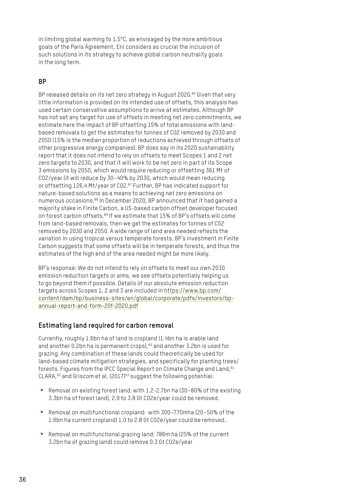in limiting global warming to 1.5°C, as envisaged by the more ambitious goals of the Paris Agreement, Eni considers as crucial the inclusion of such solutions in its strategy to achieve global carbon neutrality goals in the long term.

### **BP**

BP released details on its net zero strategy in August 2020.<sup>86</sup> Given that very little information is provided on its intended use of offsets, this analysis has used certain conservative assumptions to arrive at estimates. Although BP has not set any target for use of offsets in meeting net zero commitments, we estimate here the impact of BP offsetting 15% of total emissions with landbased removals to get the estimates for tonnes of CO2 removed by 2030 and 2050 (15% is the median proportion of reductions achieved through offsets of other progressive energy companies). BP does say in its 2020 sustainability report that it does not intend to rely on offsets to meet Scopes 1 and 2 net zero targets to 2030, and that it will work to be net zero in part of its Scope 3 emissions by 2050, which would require reducing or offsetting 361 Mt of CO2/year (it will reduce by 30–40% by 2030, which would mean reducing or offsetting 126.4 Mt/year of CO2.87 Further, BP has indicated support for nature-based solutions as a means to achieving net zero emissions on numerous occasions.88 In December 2020, BP announced that it had gained a majority stake in Finite Carbon, a US-based carbon offset developer focused on forest carbon offsets.<sup>89</sup> If we estimate that 15% of BP's offsets will come from land-based removals, then we get the estimates for tonnes of CO2 removed by 2030 and 2050. A wide range of land area needed reflects the variation in using tropical versus temperate forests. BP's investment in Finite Carbon suggests that some offsets will be in temperate forests, and thus the estimates of the high end of the area needed might be more likely.

BP's response: We do not intend to rely on offsets to meet our own 2030 emission reduction targets or aims, we see offsets potentially helping us to go beyond them if possible. Details of our absolute emission reduction targets across Scopes 1, 2 and 3 are included in [https://www.bp.com/](https://www.bp.com/content/dam/bp/business-sites/en/global/corporate/pdfs/investors/bp-annual-report-and-form-20f-2020.pdf) [content/dam/bp/business-sites/en/global/corporate/pdfs/investors/bp](https://www.bp.com/content/dam/bp/business-sites/en/global/corporate/pdfs/investors/bp-annual-report-and-form-20f-2020.pdf)[annual-report-and-form-20f-2020.pdf](https://www.bp.com/content/dam/bp/business-sites/en/global/corporate/pdfs/investors/bp-annual-report-and-form-20f-2020.pdf)

### **Estimating land required for carbon removal**

Currently, roughly 1.6bn ha of land is cropland (1.4bn ha is arable land and another 0.2bn ha is permanent crops),<sup>90</sup> and another 3.2bn is used for grazing. Any combination of these lands could theoretically be used for land-based climate mitigation strategies, and specifically for planting trees/ forests. Figures from the IPCC Special Report on Climate Change and Land, <sup>91</sup> CLARA,92 and Griscom et al. (2017)93 suggest the following potential:

- Removal on existing forest land: with 1.2-2.7bn ha (30-80% of the existing 3.3bn ha of forest land), 2.9 to 3.8 Gt CO2e/year could be removed.
- Removal on multifunctional cropland: with 300-770mha (20-50% of the 1.6bn ha current cropland) 1.0 to 2.8 Gt CO2e/year could be removed.
- Removal on multifunctional grazing land: 786m ha (25% of the current 3.2bn ha of grazing land) could remove 0.3 Gt CO2e/year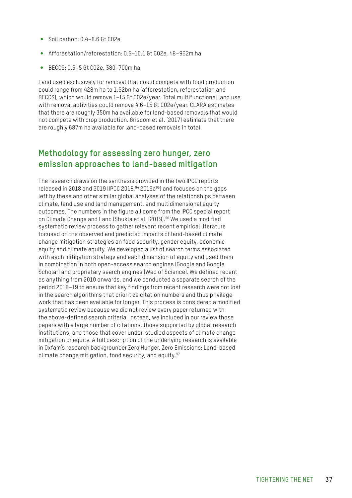- Soil carbon: 0.4–8.6 Gt CO2e
- y Afforestation/reforestation: 0.5–10.1 Gt CO2e, 48–962m ha
- y BECCS: 0.5–5 Gt CO2e, 380–700m ha

Land used exclusively for removal that could compete with food production could range from 428m ha to 1.62bn ha (afforestation, reforestation and BECCS), which would remove 1–15 Gt CO2e/year. Total multifunctional land use with removal activities could remove 4.6–15 Gt CO2e/year. CLARA estimates that there are roughly 350m ha available for land-based removals that would not compete with crop production. Griscom et al. (2017) estimate that there are roughly 687m ha available for land-based removals in total.

### **Methodology for assessing zero hunger, zero emission approaches to land-based mitigation**

The research draws on the synthesis provided in the two IPCC reports released in 2018 and 2019 (IPCC 2018,94 2019a95) and focuses on the gaps left by these and other similar global analyses of the relationships between climate, land use and land management, and multidimensional equity outcomes. The numbers in the figure all come from the IPCC special report on Climate Change and Land (Shukla et al. (2019).<sup>96</sup> We used a modified systematic review process to gather relevant recent empirical literature focused on the observed and predicted impacts of land-based climate change mitigation strategies on food security, gender equity, economic equity and climate equity. We developed a list of search terms associated with each mitigation strategy and each dimension of equity and used them in combination in both open-access search engines (Google and Google Scholar) and proprietary search engines (Web of Science). We defined recent as anything from 2010 onwards, and we conducted a separate search of the period 2018–19 to ensure that key findings from recent research were not lost in the search algorithms that prioritize citation numbers and thus privilege work that has been available for longer. This process is considered a modified systematic review because we did not review every paper returned with the above-defined search criteria. Instead, we included in our review those papers with a large number of citations, those supported by global research institutions, and those that cover under-studied aspects of climate change mitigation or equity. A full description of the underlying research is available in Oxfam's research backgrounder Zero Hunger, Zero Emissions: Land-based climate change mitigation, food security, and equity.<sup>97</sup>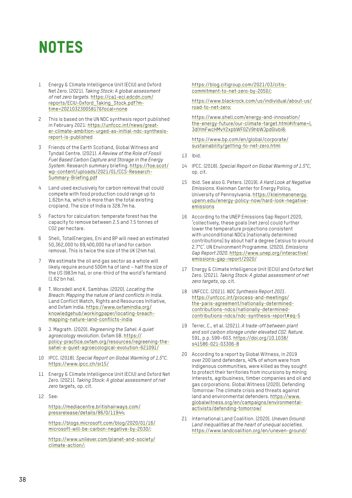### <span id="page-37-0"></span>NOTES

- 1 Energy & Climate Intelligence Unit (ECIU) and Oxford Net Zero. (2021). *Taking Stock: A global assessment of net zero targets*. [https://ca1-eci.edcdn.com/](https://ca1-eci.edcdn.com/reports/ECIU-Oxford_Taking_Stock.pdf?mtime=20210323005817&focal=none) [reports/ECIU-Oxford\\_Taking\\_Stock.pdf?m](https://ca1-eci.edcdn.com/reports/ECIU-Oxford_Taking_Stock.pdf?mtime=20210323005817&focal=none)[time=20210323005817&focal=none](https://ca1-eci.edcdn.com/reports/ECIU-Oxford_Taking_Stock.pdf?mtime=20210323005817&focal=none)
- 2 This is based on the UN NDC synthesis report published in February 2021: [https://unfccc.int/news/great](https://unfccc.int/news/greater-climate-ambition-urged-as-initial-ndc-synthesis-report-is-published)[er-climate-ambition-urged-as-initial-ndc-synthesis](https://unfccc.int/news/greater-climate-ambition-urged-as-initial-ndc-synthesis-report-is-published)[report-is-published](https://unfccc.int/news/greater-climate-ambition-urged-as-initial-ndc-synthesis-report-is-published)
- 3 Friends of the Earth Scotland, Global Witness and Tyndall Centre. (2021). *A Review of the Role of Fossil Fuel Based Carbon Capture and Storage in the Energy System*. Research summary briefing. [https://foe.scot/](https://foe.scot/wp-content/uploads/2021/01/CCS-Research-Summary-Briefing.pdf) [wp-content/uploads/2021/01/CCS-Research-](https://foe.scot/wp-content/uploads/2021/01/CCS-Research-Summary-Briefing.pdf)[Summary-Briefing.pdf](https://foe.scot/wp-content/uploads/2021/01/CCS-Research-Summary-Briefing.pdf)
- 4 Land used exclusively for carbon removal that could compete with food production could range up to 1.62bn ha, which is more than the total existing cropland. The size of India is 328.7m ha.
- 5 Factors for calculation: temperate forest has the capacity to remove between 2.5 and 7.5 tonnes of CO2 per hectare.
- 6 Shell, TotalEnergies, Eni and BP will need an estimated 50,362,000 to 69,400,000 ha of land for carbon removal. This is twice the size of the UK (24m ha).
- 7 We estimate the oil and gas sector as a whole will likely require around 500m ha of land – half the size of the US (983m ha), or one-third of the world's farmland (1.62 bn ha).
- 8 T. Worsdell and K. Sambhav. (2020). *Locating the Breach: Mapping the nature of land conflicts in India*. Land Conflict Watch, Rights and Resources Initiative, and Oxfam India. [https://www.oxfamindia.org/](https://www.oxfamindia.org/knowledgehub/workingpaper/locating-breach-mapping-nature-land-conflicts-india) [knowledgehub/workingpaper/locating-breach](https://www.oxfamindia.org/knowledgehub/workingpaper/locating-breach-mapping-nature-land-conflicts-india)[mapping-nature-land-conflicts-india](https://www.oxfamindia.org/knowledgehub/workingpaper/locating-breach-mapping-nature-land-conflicts-india)
- 9 J. Magrath. (2020). *Regreening the Sahel: A quiet agroecology revolution*. Oxfam GB. [https://](https://policy-practice.oxfam.org/resources/regreening-the-sahel-a-quiet-agroecological-evolution-621091/) [policy-practice.oxfam.org/resources/regreening-the](https://policy-practice.oxfam.org/resources/regreening-the-sahel-a-quiet-agroecological-evolution-621091/)[sahel-a-quiet-agroecological-evolution-621091/](https://policy-practice.oxfam.org/resources/regreening-the-sahel-a-quiet-agroecological-evolution-621091/)
- 10 IPCC. (2018). *Special Report on Global Warming of 1.5°C*. <https://www.ipcc.ch/sr15/>
- 11 Energy & Climate Intelligence Unit (ECIU) and Oxford Net Zero. (2021). *Taking Stock: A global assessment of net zero target*s, op. cit.
- 12 See:

[https://mediacentre.britishairways.com/](https://mediacentre.britishairways.com/pressrelease/details/86/0/11944) [pressrelease/details/86/0/11944;](https://mediacentre.britishairways.com/pressrelease/details/86/0/11944)

[https://blogs.microsoft.com/blog/2020/01/16/](https://blogs.microsoft.com/blog/2020/01/16/microsoft-will-be-carbon-negative-by-2030/) [microsoft-will-be-carbon-negative-by-2030/](https://blogs.microsoft.com/blog/2020/01/16/microsoft-will-be-carbon-negative-by-2030/);

[https://www.unilever.com/planet-and-society/](https://www.unilever.com/planet-and-society/climate-action/) [climate-action/](https://www.unilever.com/planet-and-society/climate-action/);

[https://blog.citigroup.com/2021/03/citis](https://blog.citigroup.com/2021/03/citis-commitment-to-net-zero-by-2050/)[commitment-to-net-zero-by-2050/;](https://blog.citigroup.com/2021/03/citis-commitment-to-net-zero-by-2050/)

[https://www.blackrock.com/us/individual/about-us/](https://www.blackrock.com/us/individual/about-us/road-to-net-zero) [road-to-net-zero](https://www.blackrock.com/us/individual/about-us/road-to-net-zero);

[https://www.shell.com/energy-and-innovation/](https://www.shell.com/energy-and-innovation/the-energy-future/our-climate-target.html#iframe=L3dlYmF) [the-energy-future/our-climate-target.html#iframe=L](https://www.shell.com/energy-and-innovation/the-energy-future/our-climate-target.html#iframe=L3dlYmF) [3dlYmFwcHMvY2xpbWF0ZV9hbWJpdGlvbi8;](https://www.shell.com/energy-and-innovation/the-energy-future/our-climate-target.html#iframe=L3dlYmF)

[https://www.bp.com/en/global/corporate/](https://www.bp.com/en/global/corporate/sustainability/getting-to-net-zero.html) [sustainability/getting-to-net-zero.html](https://www.bp.com/en/global/corporate/sustainability/getting-to-net-zero.html)

- 13 Ibid.
- 14 IPCC. (2018). *Special Report on Global Warming of 1.5°C*, op. cit.
- 15 Ibid. See also G. Peters. (2019). *A Hard Look at Negative Emissions.* Kleinman Center for Energy Policy, University of Pennsylvania. [https://kleinmanenergy.](https://kleinmanenergy.upenn.edu/energy-policy-now/hard-look-negative-emissions) [upenn.edu/energy-policy-now/hard-look-negative](https://kleinmanenergy.upenn.edu/energy-policy-now/hard-look-negative-emissions)[emissions](https://kleinmanenergy.upenn.edu/energy-policy-now/hard-look-negative-emissions)
- 16 According to the UNEP Emissions Gap Report 2020, 'collectively, these goals [net zero] could further lower the temperature projections consistent with unconditional NDCs [nationally determined contributions] by about half a degree Celsius to around 2.7°C'. UN Environment Programme. (2020). *Emissions Gap Report 2020*. [https://www.unep.org/interactive/](https://www.unep.org/interactive/emissions-gap-report/2020/) [emissions-gap-report/2020/](https://www.unep.org/interactive/emissions-gap-report/2020/)
- 17 Energy & Climate Intelligence Unit (ECIU) and Oxford Net Zero. (2021). *Taking Stock: A global assessment of net zero targets*, op. cit.
- 18 UNFCCC. (2021). *NDC Synthesis Report 2021*. [https://unfccc.int/process-and-meetings/](https://unfccc.int/process-and-meetings/the-paris-agreement/nationally-determined-contributions-ndcs/nationally-determined-contributions-ndcs/ndc-synthesis-report#eq-5) [the-paris-agreement/nationally-determined](https://unfccc.int/process-and-meetings/the-paris-agreement/nationally-determined-contributions-ndcs/nationally-determined-contributions-ndcs/ndc-synthesis-report#eq-5)[contributions-ndcs/nationally-determined](https://unfccc.int/process-and-meetings/the-paris-agreement/nationally-determined-contributions-ndcs/nationally-determined-contributions-ndcs/ndc-synthesis-report#eq-5)[contributions-ndcs/ndc-synthesis-report#eq-5](https://unfccc.int/process-and-meetings/the-paris-agreement/nationally-determined-contributions-ndcs/nationally-determined-contributions-ndcs/ndc-synthesis-report#eq-5)
- 19 Terrer, C., et al. (2021). *A trade-off between plant and soil carbon storage under elevated CO2. Nature*. 591, p.p. 599–603. [https://doi.org/10.1038/](https://doi.org/10.1038/s41586-021-03306-8) [s41586-021-03306-8](https://doi.org/10.1038/s41586-021-03306-8)
- 20 According to a report by Global Witness, in 2019 over 200 land defenders, 40% of whom were from Indigenous communities, were killed as they sought to protect their territories from incursions by mining interests, agribusiness, timber companies and oil and gas corporations. Global Witness (2020). Defending Tomorrow: The climate crisis and threats against land and environmental defenders. [https://www.](https://www.globalwitness.org/en/campaigns/environmental-activists/defending-tomorrow/) [globalwitness.org/en/campaigns/environmental](https://www.globalwitness.org/en/campaigns/environmental-activists/defending-tomorrow/)[activists/defending-tomorrow/](https://www.globalwitness.org/en/campaigns/environmental-activists/defending-tomorrow/)
- 21 International Land Coalition. (2020). *Uneven Ground: Land inequalities at the heart of unequal societies*. <https://www.landcoalition.org/en/uneven-ground/>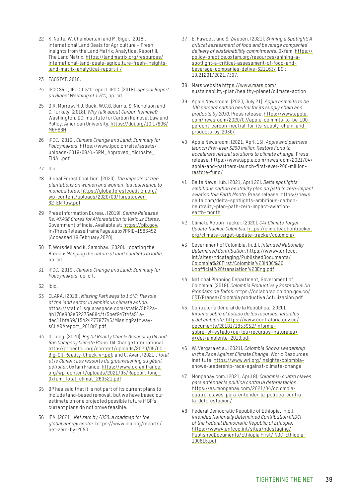- 22 K. Nolte, W. Chamberlain and M. Giger. (2018). International Land Deals for Agriculture – Fresh insights from the Land Matrix: Analytical Report II. The Land Matrix. [https://landmatrix.org/resources/](https://landmatrix.org/resources/international-land-deals-agriculture-fresh-insights-land-matrix-analytical-report-ii/) [international-land-deals-agriculture-fresh-insights](https://landmatrix.org/resources/international-land-deals-agriculture-fresh-insights-land-matrix-analytical-report-ii/)[land-matrix-analytical-report-ii/](https://landmatrix.org/resources/international-land-deals-agriculture-fresh-insights-land-matrix-analytical-report-ii/)
- 23 FAOSTAT, 2018.
- 24 IPCC SR L, IPCC 1.5°C report. IPCC. (2018). *Special Report on Global Warming of 1.5°C*, op. cit
- 25 D.R. Morrow, H.J. Buck, W.C.G. Burns, S. Nicholson and C. Turkaly. (2018). *Why Talk about Carbon Removal?*  Washington, DC: Institute for Carbon Removal Law and Policy, American University. [https://doi.org/10.17606/](https://doi.org/10.17606/M6H66H) [M6H66H](https://doi.org/10.17606/M6H66H)
- 26 IPCC. (2019). *Climate Change and Land: Summary for Policymakers*. [https://www.ipcc.ch/site/assets/](https://www.ipcc.ch/site/assets/uploads/2019/08/4.-SPM_Approved_Microsite_FINAL.pdf) [uploads/2019/08/4.-SPM\\_Approved\\_Microsite\\_](https://www.ipcc.ch/site/assets/uploads/2019/08/4.-SPM_Approved_Microsite_FINAL.pdf) [FINAL.pdf](https://www.ipcc.ch/site/assets/uploads/2019/08/4.-SPM_Approved_Microsite_FINAL.pdf)
- 27 Ibid.
- 28 Global Forest Coalition. (2020). *The impacts of tree plantations on women and women-led resistance to monocultures*. [https://globalforestcoalition.org/](https://globalforestcoalition.org/wp-content/uploads/2020/09/forestcover-62-EN-low.pdf) [wp-content/uploads/2020/09/forestcover-](https://globalforestcoalition.org/wp-content/uploads/2020/09/forestcover-62-EN-low.pdf)[62-EN-low.pdf](https://globalforestcoalition.org/wp-content/uploads/2020/09/forestcover-62-EN-low.pdf)
- 29 Press Information Bureau. (2019). *Centre Releases Rs. 47,436 Crores for Afforestation to Various States*. Government of India. Available at: [https://pib.gov.](https://pib.gov.in/PressReleaseIframePage.aspx?PRID=1583452) [in/PressReleaseIframePage.aspx?PRID=1583452](https://pib.gov.in/PressReleaseIframePage.aspx?PRID=1583452) [Accessed 18 February 2020].
- 30 T. Worsdell and K. Sambhav. (2020). Locating the Breach: *Mapping the nature of land conflicts in India*, op. cit.
- 31 IPCC. (2019). *Climate Change and Land: Summary for Policymakers*, op. cit.
- 32 Ibid.
- 33 CLARA. (2018). *Missing Pathways to 1.5°C: The role of the land sector in ambitious climate action*. [https://static1.squarespace.com/static/5b22a-](https://static1.squarespace.com/static/5b22a4b170e802e32273e68c/t/5bef947f4fa51adec11bfa69/1542427787745/MissingPathwaysCLARAreport_2018r2.pdf)[4b170e802e32273e68c/t/5bef947f4fa51a](https://static1.squarespace.com/static/5b22a4b170e802e32273e68c/t/5bef947f4fa51adec11bfa69/1542427787745/MissingPathwaysCLARAreport_2018r2.pdf)[dec11bfa69/1542427787745/MissingPathway](https://static1.squarespace.com/static/5b22a4b170e802e32273e68c/t/5bef947f4fa51adec11bfa69/1542427787745/MissingPathwaysCLARAreport_2018r2.pdf)[sCLARAreport\\_2018r2.pdf](https://static1.squarespace.com/static/5b22a4b170e802e32273e68c/t/5bef947f4fa51adec11bfa69/1542427787745/MissingPathwaysCLARAreport_2018r2.pdf)
- 34 D. Tong. (2020). *Big Oil Reality Check: Assessing Oil and Gas Company Climate Plans*. Oil Change International. [http://priceofoil.org/content/uploads/2020/09/OCI-](http://priceofoil.org/content/uploads/2020/09/OCI-Big-Oil-Reality-Check-vF.pdf)[Big-Oil-Reality-Check-vF.pdf;](http://priceofoil.org/content/uploads/2020/09/OCI-Big-Oil-Reality-Check-vF.pdf) and C. Avan. (2021). *Total et le Climat : Les ressorts du greenwashing du géant pétrolier*. Oxfam France. [https://www.oxfamfrance.](https://www.oxfamfrance.org/wp-content/uploads/2021/05/Rapport-long_Oxfam_Total_climat_260521.pdf) [org/wp-content/uploads/2021/05/Rapport-long\\_](https://www.oxfamfrance.org/wp-content/uploads/2021/05/Rapport-long_Oxfam_Total_climat_260521.pdf) [Oxfam\\_Total\\_climat\\_260521.pdf](https://www.oxfamfrance.org/wp-content/uploads/2021/05/Rapport-long_Oxfam_Total_climat_260521.pdf)
- 35 BP has said that it is not part of its current plans to include land-based removal, but we have based our estimate on one projected possible future if BP's current plans do not prove feasible.
- 36 IEA. (2021). *Net zero by 2050: a roadmap for the global energy sector*. [https://www.iea.org/reports/](https://www.iea.org/reports/net-zero-by-2050) [net-zero-by-2050](https://www.iea.org/reports/net-zero-by-2050)
- 37 E. Fawcett and S. Zweben. (2021). *Shining a Spotlight: A critical assessment of food and beverage companies' delivery of sustainability commitments*. Oxfam. [https://](https://policy-practice.oxfam.org/resources/shining-a-spotlight-a-critical-assessment-of-food-and-beverage-companies-delive-621163/) [policy-practice.oxfam.org/resources/shining-a](https://policy-practice.oxfam.org/resources/shining-a-spotlight-a-critical-assessment-of-food-and-beverage-companies-delive-621163/)[spotlight-a-critical-assessment-of-food-and](https://policy-practice.oxfam.org/resources/shining-a-spotlight-a-critical-assessment-of-food-and-beverage-companies-delive-621163/)[beverage-companies-delive-621163/](https://policy-practice.oxfam.org/resources/shining-a-spotlight-a-critical-assessment-of-food-and-beverage-companies-delive-621163/). DOI: 10.21201/2021.7307.
- 38 Mars website [https://www.mars.com/](https://www.mars.com/sustainability-plan/healthy-planet/climate-action) [sustainability-plan/healthy-planet/climate-action](https://www.mars.com/sustainability-plan/healthy-planet/climate-action)
- 39 Apple Newsroom. (2020, July 21). *Apple commits to be 100 percent carbon neutral for its supply chain and products by 2030*. Press release. [https://www.apple.](https://www.apple.com/newsroom/2020/07/apple-commits-to-be-100-percent-carbon-neutral-for-its-supply-chain-and-products-by-2030/) [com/newsroom/2020/07/apple-commits-to-be-100](https://www.apple.com/newsroom/2020/07/apple-commits-to-be-100-percent-carbon-neutral-for-its-supply-chain-and-products-by-2030/) [percent-carbon-neutral-for-its-supply-chain-and](https://www.apple.com/newsroom/2020/07/apple-commits-to-be-100-percent-carbon-neutral-for-its-supply-chain-and-products-by-2030/)[products-by-2030/](https://www.apple.com/newsroom/2020/07/apple-commits-to-be-100-percent-carbon-neutral-for-its-supply-chain-and-products-by-2030/)
- 40 Apple Newsroom. (2021, April 15). *Apple and partners launch first-ever \$200 million Restore Fund to accelerate natural solutions to climate change*. Press release. [https://www.apple.com/newsroom/2021/04/](https://www.apple.com/newsroom/2021/04/apple-and-partners-launch-first-ever-200-million-restore-fund/) [apple-and-partners-launch-first-ever-200-million](https://www.apple.com/newsroom/2021/04/apple-and-partners-launch-first-ever-200-million-restore-fund/)[restore-fund/](https://www.apple.com/newsroom/2021/04/apple-and-partners-launch-first-ever-200-million-restore-fund/)
- 41 Delta News Hub. (2021, April 22). *Delta spotlights ambitious carbon neutrality plan on path to zero-impact aviation this Earth Month*. Press release. [https://news.](https://news.delta.com/delta-spotlights-ambitious-carbon-neutrality-plan-path-zero-impact-aviation-earth-month) [delta.com/delta-spotlights-ambitious-carbon](https://news.delta.com/delta-spotlights-ambitious-carbon-neutrality-plan-path-zero-impact-aviation-earth-month)[neutrality-plan-path-zero-impact-aviation](https://news.delta.com/delta-spotlights-ambitious-carbon-neutrality-plan-path-zero-impact-aviation-earth-month)[earth-month](https://news.delta.com/delta-spotlights-ambitious-carbon-neutrality-plan-path-zero-impact-aviation-earth-month)
- 42 Climate Action Tracker. (2020). *CAT Climate Target Update Tracker: Colombia*. [https://climateactiontracker.](https://climateactiontracker.org/climate-target-update-tracker/colombia/) [org/climate-target-update-tracker/colombia/](https://climateactiontracker.org/climate-target-update-tracker/colombia/)
- 43 Government of Colombia. (n.d.). *Intended Nationally Determined Contribution*. [https://www4.unfccc.](https://www4.unfccc.int/sites/ndcstaging/PublishedDocuments/Colombia%20First/Colombia%20iNDC%20Unofficial%20translation%20Eng.pdf) [int/sites/ndcstaging/PublishedDocuments/](https://www4.unfccc.int/sites/ndcstaging/PublishedDocuments/Colombia%20First/Colombia%20iNDC%20Unofficial%20translation%20Eng.pdf) [Colombia%20First/Colombia%20iNDC%20](https://www4.unfccc.int/sites/ndcstaging/PublishedDocuments/Colombia%20First/Colombia%20iNDC%20Unofficial%20translation%20Eng.pdf) [Unofficial%20translation%20Eng.pdf](https://www4.unfccc.int/sites/ndcstaging/PublishedDocuments/Colombia%20First/Colombia%20iNDC%20Unofficial%20translation%20Eng.pdf)
- 44 National Planning Department, Government of Colombia. (2018). *Colombia Productiva y Sostenible: Un Propósito de Todos*. [https://colaboracion.dnp.gov.co/](https://colaboracion.dnp.gov.co/CDT/Prensa/Colombia) [CDT/Prensa/Colombia](https://colaboracion.dnp.gov.co/CDT/Prensa/Colombia) productiva Actulización.pdf
- 45 Contraloría General de la República. (2020). *Informe sobre el estado de los recursos naturales y del ambiente*. [https://www.contraloria.gov.co/](https://www.contraloria.gov.co/documents/20181/1853952/Informe+sobre+el+estado+de+los+recursos+naturales+y+del+ambiente+2019.pdf) [documents/20181/1853952/Informe+](https://www.contraloria.gov.co/documents/20181/1853952/Informe+sobre+el+estado+de+los+recursos+naturales+y+del+ambiente+2019.pdf) [sobre+el+estado+de+los+recursos+naturales+](https://www.contraloria.gov.co/documents/20181/1853952/Informe+sobre+el+estado+de+los+recursos+naturales+y+del+ambiente+2019.pdf) [y+del+ambiente+2019.pdf](https://www.contraloria.gov.co/documents/20181/1853952/Informe+sobre+el+estado+de+los+recursos+naturales+y+del+ambiente+2019.pdf)
- 46 W. Vergara et al. (2021). *Colombia Shows Leadership in the Race Against Climate Change*. World Resources Institute. [https://www.wri.org/insights/colombia](https://www.wri.org/insights/colombia-shows-leadership-race-against-climate-change)[shows-leadership-race-against-climate-change](https://www.wri.org/insights/colombia-shows-leadership-race-against-climate-change)
- 47 [Mongabay.com.](https://www.mongabay.com) (2021, April 8). *Colombia: cuatro claves para entender la política contra la deforestación*. [https://es.mongabay.com/2021/04/colombia](https://es.mongabay.com/2021/04/colombia-cuatro-claves-para-entender-la-politica-contra-la-deforestacion/)[cuatro-claves-para-entender-la-politica-contra](https://es.mongabay.com/2021/04/colombia-cuatro-claves-para-entender-la-politica-contra-la-deforestacion/)[la-deforestacion/](https://es.mongabay.com/2021/04/colombia-cuatro-claves-para-entender-la-politica-contra-la-deforestacion/)
- 48 Federal Democratic Republic of Ethiopia. (n.d.). *Intended Nationally Determined Contribution (INDC) of the Federal Democratic Republic of Ethiopia*. [https://www4.unfccc.int/sites/ndcstaging/](https://www4.unfccc.int/sites/ndcstaging/PublishedDocuments/Ethiopia%20First/INDC-Ethiopia-100615.pdf) [PublishedDocuments/Ethiopia First/INDC-Ethiopia-](https://www4.unfccc.int/sites/ndcstaging/PublishedDocuments/Ethiopia%20First/INDC-Ethiopia-100615.pdf)[100615.pdf](https://www4.unfccc.int/sites/ndcstaging/PublishedDocuments/Ethiopia%20First/INDC-Ethiopia-100615.pdf)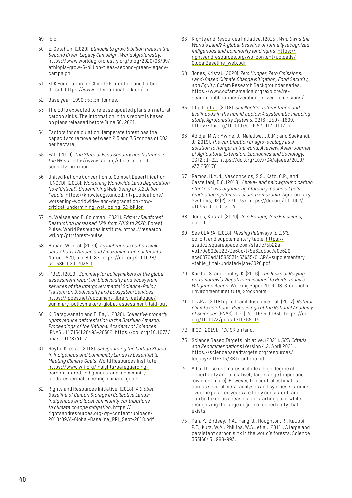- 49 Ibid.
- 50 E. Getahun. (2020). *Ethiopia to grow 5 billion trees in the Second Green Legacy Campaign. World Agroforestry*. [https://www.worldagroforestry.org/blog/2020/06/09/](https://www.worldagroforestry.org/blog/2020/06/09/ethiopia-grow-5-billion-trees-second-green-legacy-campaign) [ethiopia-grow-5-billion-trees-second-green-legacy](https://www.worldagroforestry.org/blog/2020/06/09/ethiopia-grow-5-billion-trees-second-green-legacy-campaign)[campaign](https://www.worldagroforestry.org/blog/2020/06/09/ethiopia-grow-5-billion-trees-second-green-legacy-campaign)
- 51 KliK Foundation for Climate Protection and Carbon Offset.<https://www.international.klik.ch/en>
- 52 Base year (1990): 53.3m tonnes.
- 53 The EU is expected to release updated plans on natural carbon sinks. The information in this report is based on plans released before June 30, 2021.
- 54 Factors for calculation: temperate forest has the capacity to remove between 2.5 and 7.5 tonnes of CO2 per hectare.
- 55 FAO. (2019). *The State of Food Security and Nutrition in the World*. [http://www.fao.org/state-of-food](http://www.fao.org/state-of-food-security-nutrition)[security-nutrition](http://www.fao.org/state-of-food-security-nutrition)
- 56 United Nations Convention to Combat Desertification (UNCCD). (2018). *Worsening Worldwide Land Degradation Now 'Critical', Undermining Well-Being of 3.2 Billion People*. [https://knowledge.unccd.int/publications/](https://knowledge.unccd.int/publications/worsening-worldwide-land-degradation-now-critical-undermining-well-being-32-billion) [worsening-worldwide-land-degradation-now](https://knowledge.unccd.int/publications/worsening-worldwide-land-degradation-now-critical-undermining-well-being-32-billion)[critical-undermining-well-being-32-billion](https://knowledge.unccd.int/publications/worsening-worldwide-land-degradation-now-critical-undermining-well-being-32-billion)
- 57 M. Weisse and E. Goldman. (2021). *Primary Rainforest Destruction Increased 12% from 2019 to 2020*. Forest Pulse: World Resources Institute. [https://research.](https://research.wri.org/gfr/forest-pulse) [wri.org/gfr/forest-pulse](https://research.wri.org/gfr/forest-pulse)
- 58 Hubau, W. et al. (2020). *Asynchronous carbon sink saturation in African and Amazonian tropical forests*. Nature. 579, p.p. 80–87. [https://doi.org/10.1038/](https://doi.org/10.1038/s41586-020-2035-0) [s41586-020-2035-0](https://doi.org/10.1038/s41586-020-2035-0)
- 59 IPBES. (2019). *Summary for policymakers of the global assessment report on biodiversity and ecosystem services of the Intergovernmental Science-Policy Platform on Biodiversity and Ecosystem Services*. [https://ipbes.net/document-library-catalogue/](https://ipbes.net/document-library-catalogue/summary-policymakers-global-assessment-laid-out) [summary-policymakers-global-assessment-laid-out](https://ipbes.net/document-library-catalogue/summary-policymakers-global-assessment-laid-out)
- 60 K. Baragwanath and E. Bayi. (2020). *Collective property rights reduce deforestation in the Brazilian Amazon. Proceedings of the National Academy of Sciences*  (PNAS), 117 (34) 20495-20502. [https://doi.org/10.1073/](https://doi.org/10.1073/pnas.1917874117) [pnas.1917874117](https://doi.org/10.1073/pnas.1917874117)
- 61 Reytar K. et al. (2018). *Safeguarding the Carbon Stored in Indigenous and Community Lands is Essential to Meeting Climate Goals*. World Resources Institute. [https://www.wri.org/insights/safeguarding](https://www.wri.org/insights/safeguarding-carbon-stored-indigenous-and-community-lands-essential-meeting-climate-goals)[carbon-stored-indigenous-and-community](https://www.wri.org/insights/safeguarding-carbon-stored-indigenous-and-community-lands-essential-meeting-climate-goals)[lands-essential-meeting-climate-goals](https://www.wri.org/insights/safeguarding-carbon-stored-indigenous-and-community-lands-essential-meeting-climate-goals)
- 62 Rights and Resources Initiative. (2018). *A Global Baseline of Carbon Storage in Collective Lands: Indigenous and local community contributions to climate change mitigation*. [https://](https://rightsandresources.org/wp-content/uploads/2018/09/A-Global-Baseline_RRI_Sept-2018.pdf) [rightsandresources.org/wp-content/uploads/](https://rightsandresources.org/wp-content/uploads/2018/09/A-Global-Baseline_RRI_Sept-2018.pdf) [2018/09/A-Global-Baseline\\_RRI\\_Sept-2018.pdf](https://rightsandresources.org/wp-content/uploads/2018/09/A-Global-Baseline_RRI_Sept-2018.pdf)
- 63 Rights and Resources Initiative. (2015). *Who Owns the World's Land? A global baseline of formally recognized indigenous and community land rights*. [https://](https://rightsandresources.org/wp-content/uploads/GlobalBaseline_web.pdf) [rightsandresources.org/wp-content/uploads/](https://rightsandresources.org/wp-content/uploads/GlobalBaseline_web.pdf) [GlobalBaseline\\_web.pdf](https://rightsandresources.org/wp-content/uploads/GlobalBaseline_web.pdf)
- 64 Jones, Kristal. (2020). *Zero Hunger, Zero Emissions: Land-Based Climate Change Mitigation, Food Security, and Equity*. Oxfam Research Backgrounder series. [https://www.oxfamamerica.org/explore/re](https://www.oxfamamerica.org/explore/research-publications/zerohunger-zero-emissions/)[search-publications/zerohunger-zero-emissions/](https://www.oxfamamerica.org/explore/research-publications/zerohunger-zero-emissions/).
- 65 Ota, L. [et.al](http://et.al). (2018). *Smallholder reforestation and livelihoods in the humid tropics: A systematic mapping study. Agroforestry Systems*, 92 (6): 1597–1609. <https://doi.org/10.1007/s10457-017-0107-4>.
- 66 Adidja, M.W.; Mwine, J.; Majaliwa, J.G.M.; and Ssekandi, J. (2019). *The contribution of agro-ecology as a solution to hunger in the world: A review. Asian Journal of Agricultural Extension, Economics and Sociology*, 33 (2): 1–22. [https://doi.org/10.9734/ajaees/2019/](https://doi.org/10.9734/ajaees/2019/v33i230170) [v33i230170](https://doi.org/10.9734/ajaees/2019/v33i230170)
- 67 Ramos, H.M.N.; Vasconcelos, S.S.; Kato, O.R.; and Castellani, D.C. (2018). *Above- and belowground carbon stocks of two organic, agroforestry-based oil palm production systems in eastern Amazonia*. Agroforestry Systems, 92 (2): 221–237. [https://doi.org/10.1007/](https://doi.org/10.1007/s10457-017-0131-4) [s10457-017-0131-4.](https://doi.org/10.1007/s10457-017-0131-4)
- 68 Jones, Kristal. (2020). *Zero Hunger, Zero Emissions*, op. cit.
- 69 See CLARA. (2018). *Missing Pathways to 1.5°C*, op. cit. and supplementary table: [https://](https://static1.squarespace.com/static/5b22a4b170e802e32273e68c/t/5e62c5bc7a0c620ace0076ed/1583531453635/CLARA+supplementary+table_final-updated+jan+2020.pdf) [static1.squarespace.com/static/5b22a-](https://static1.squarespace.com/static/5b22a4b170e802e32273e68c/t/5e62c5bc7a0c620ace0076ed/1583531453635/CLARA+supplementary+table_final-updated+jan+2020.pdf)[4b170e802e32273e68c/t/5e62c5bc7a0c620](https://static1.squarespace.com/static/5b22a4b170e802e32273e68c/t/5e62c5bc7a0c620ace0076ed/1583531453635/CLARA+supplementary+table_final-updated+jan+2020.pdf) [ace0076ed/1583531453635/CLARA+supplementary](https://static1.squarespace.com/static/5b22a4b170e802e32273e68c/t/5e62c5bc7a0c620ace0076ed/1583531453635/CLARA+supplementary+table_final-updated+jan+2020.pdf) [+table\\_final-updated+jan+2020.pdf](https://static1.squarespace.com/static/5b22a4b170e802e32273e68c/t/5e62c5bc7a0c620ace0076ed/1583531453635/CLARA+supplementary+table_final-updated+jan+2020.pdf)
- 70 Kartha, S. and Dooley, K. (2016). *The Risks of Relying on Tomorrow's 'Negative Emissions' to Guide Today's Mitigation Action*. Working Paper 2016-08. Stockholm Environment Institute, Stockholm
- 71 CLARA. (2018) op. cit. and Griscom et. al. (2017). *Natural climate solutions. Proceedings of the National Academy of Sciences* (PNAS). 114 (44) 11645-11650. [https://doi.](https://doi.org/10.1073/pnas.1710465114) [org/10.1073/pnas.1710465114](https://doi.org/10.1073/pnas.1710465114).
- 72 IPCC. (2019). IPCC SR on land.
- 73 Science Based Targets initiative. (2021). *SBTi Criteria and Recommendations* (Version 4.2, April 2021). [https://sciencebasedtargets.org/resources/](https://sciencebasedtargets.org/resources/legacy/2019/03/SBTi-criteria.pdf) [legacy/2019/03/SBTi-criteria.pdf](https://sciencebasedtargets.org/resources/legacy/2019/03/SBTi-criteria.pdf)
- 74 All of these estimates include a high degree of uncertainty and a relatively large range (upper and lower estimate). However, the central estimates across several meta-analyses and synthesis studies over the past ten years are fairly consistent, and can be taken as a reasonable starting point while recognizing the large degree of uncertainty that exists.
- 75 Pan, Y., Birdsey, R.A., Fang, J., Houghton, R., Kauppi, P.E., Kurz, W.A., Phillips, W.A., et al. (2011). A large and persistent carbon sink in the world's forests. Science 333(6045): 988-993.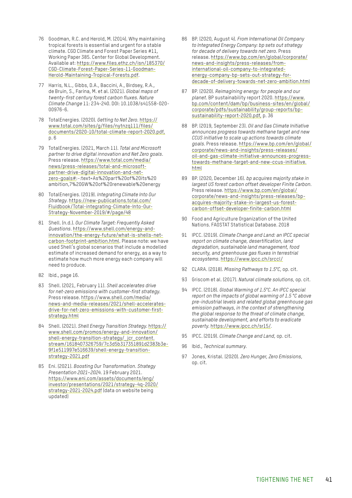- 76 Goodman, R.C. and Herold, M. (2014). Why maintaining tropical forests is essential and urgent for a stable climate. CGD Climate and Forest Paper Series #11, Working Paper 385. Center for Global Development. Available at: [https://www.files.ethz.ch/isn/185370/](https://www.files.ethz.ch/isn/185370/CGD-Climate-Forest-Paper-Series-11-Goodman-Herold-Maintaining-Tropical-Forests.pdf) [CGD-Climate-Forest-Paper-Series-11-Goodman-](https://www.files.ethz.ch/isn/185370/CGD-Climate-Forest-Paper-Series-11-Goodman-Herold-Maintaining-Tropical-Forests.pdf)[Herold-Maintaining-Tropical-Forests.pdf](https://www.files.ethz.ch/isn/185370/CGD-Climate-Forest-Paper-Series-11-Goodman-Herold-Maintaining-Tropical-Forests.pdf).
- 77 Harris, N.L., Gibbs, D.A., Baccini, A., Birdsey, R.A., de Bruin, S., Farina, M. et al. (2021). *Global maps of twenty-first century forest carbon fluxes. Nature Climate Change* 11: 234-240. DOI: 10.1038/s41558-020- 00976-6.
- 78 TotalEnergies. (2020). *Getting to Net Zero*. [https://](https://www.total.com/sites/g/files/nytnzq111/files/documents/2020-10/total-climate-report-2020.pdf) [www.total.com/sites/g/files/nytnzq111/files/](https://www.total.com/sites/g/files/nytnzq111/files/documents/2020-10/total-climate-report-2020.pdf) [documents/2020-10/total-climate-report-2020.pdf,](https://www.total.com/sites/g/files/nytnzq111/files/documents/2020-10/total-climate-report-2020.pdf) p. 6
- 79 TotalEnergies. (2021, March 11). *Total and Microsoft partner to drive digital innovation and Net Zero goals*. Press release. [https://www.total.com/media/](https://www.total.com/media/news/press-releases/total-and-microsoft-partner-drive-digital-innovation-and-net-zero-goals#) [news/press-releases/total-and-microsoft](https://www.total.com/media/news/press-releases/total-and-microsoft-partner-drive-digital-innovation-and-net-zero-goals#)[partner-drive-digital-innovation-and-net](https://www.total.com/media/news/press-releases/total-and-microsoft-partner-drive-digital-innovation-and-net-zero-goals#)[zero-goals#:](https://www.total.com/media/news/press-releases/total-and-microsoft-partner-drive-digital-innovation-and-net-zero-goals#)~:text=As%20part%20of%20its%20 ambition,7%20GW%20of%20renewable%20energy
- 80 TotalEnergies. (2019). *Integrating Climate Into Our Strategy*. [https://new-publications.total.com/](https://new-publications.total.com/Fluidbook/Total-integrating-Climate-Into-Our-Strategy-November-2019/#/page/48) [Fluidbook/Total-integrating-Climate-Into-Our-](https://new-publications.total.com/Fluidbook/Total-integrating-Climate-Into-Our-Strategy-November-2019/#/page/48)[Strategy-November-2019/#/page/48](https://new-publications.total.com/Fluidbook/Total-integrating-Climate-Into-Our-Strategy-November-2019/#/page/48)
- 81 Shell. (n.d.). *Our Climate Target: Frequently Asked Questions*. [https://www.shell.com/energy-and](https://www.shell.com/energy-and-innovation/the-energy-future/what-is-shells-net-carbon-footprint-ambition.html)[innovation/the-energy-future/what-is-shells-net](https://www.shell.com/energy-and-innovation/the-energy-future/what-is-shells-net-carbon-footprint-ambition.html)[carbon-footprint-ambition.html.](https://www.shell.com/energy-and-innovation/the-energy-future/what-is-shells-net-carbon-footprint-ambition.html) Please note: we have used Shell's global scenarios that include a modelled estimate of increased demand for energy, as a way to estimate how much more energy each company will need to produce.
- 82 Ibid., page 16.
- 83 Shell. (2021, February 11). *Shell accelerates drive for net-zero emissions with customer-first strategy*. Press release. [https://www.shell.com/media/](https://www.shell.com/media/news-and-media-releases/2021/shell-accelerates-drive-for-net-zero-emissions-with-customer-first-strategy.html) [news-and-media-releases/2021/shell-accelerates](https://www.shell.com/media/news-and-media-releases/2021/shell-accelerates-drive-for-net-zero-emissions-with-customer-first-strategy.html)[drive-for-net-zero-emissions-with-customer-first](https://www.shell.com/media/news-and-media-releases/2021/shell-accelerates-drive-for-net-zero-emissions-with-customer-first-strategy.html)[strategy.html](https://www.shell.com/media/news-and-media-releases/2021/shell-accelerates-drive-for-net-zero-emissions-with-customer-first-strategy.html)
- 84 Shell. (2021). *Shell Energy Transition Strategy*. [https://](https://www.shell.com/promos/energy-and-innovation/shell-energy-transition-strategy/_jcr_content.stream/1618407326759/7c3d5b317351891d2383b3e9f1e511997e516639/shell-energy-transition-strategy-2021.pdf) [www.shell.com/promos/energy-and-innovation/](https://www.shell.com/promos/energy-and-innovation/shell-energy-transition-strategy/_jcr_content.stream/1618407326759/7c3d5b317351891d2383b3e9f1e511997e516639/shell-energy-transition-strategy-2021.pdf) [shell-energy-transition-strategy/\\_jcr\\_content.](https://www.shell.com/promos/energy-and-innovation/shell-energy-transition-strategy/_jcr_content.stream/1618407326759/7c3d5b317351891d2383b3e9f1e511997e516639/shell-energy-transition-strategy-2021.pdf) [stream/1618407326759/7c3d5b317351891d2383b3e-](https://www.shell.com/promos/energy-and-innovation/shell-energy-transition-strategy/_jcr_content.stream/1618407326759/7c3d5b317351891d2383b3e9f1e511997e516639/shell-energy-transition-strategy-2021.pdf)[9f1e511997e516639/shell-energy-transition](https://www.shell.com/promos/energy-and-innovation/shell-energy-transition-strategy/_jcr_content.stream/1618407326759/7c3d5b317351891d2383b3e9f1e511997e516639/shell-energy-transition-strategy-2021.pdf)[strategy-2021.pdf](https://www.shell.com/promos/energy-and-innovation/shell-energy-transition-strategy/_jcr_content.stream/1618407326759/7c3d5b317351891d2383b3e9f1e511997e516639/shell-energy-transition-strategy-2021.pdf)
- 85 Eni. (2021). *Boosting Our Transformation. Strategy Presentation 2021–2024*. 19 February 2021. [https://www.eni.com/assets/documents/eng/](https://www.eni.com/assets/documents/eng/investor/presentations/2021/strategy-4q-2020/strategy-2021-2024.pdf) [investor/presentations/2021/strategy-4q-2020/](https://www.eni.com/assets/documents/eng/investor/presentations/2021/strategy-4q-2020/strategy-2021-2024.pdf) [strategy-2021-2024.pdf](https://www.eni.com/assets/documents/eng/investor/presentations/2021/strategy-4q-2020/strategy-2021-2024.pdf) (data on website being updated)
- 86 BP. (2020, August 4). *From International Oil Company to Integrated Energy Company: bp sets out strategy for decade of delivery towards net zero*. Press release. [https://www.bp.com/en/global/corporate/](https://www.bp.com/en/global/corporate/news-and-insights/press-releases/from-international-oil-company-to-integrated-energy-company-bp-sets-out-strategy-for-decade-of-delivery-towards-net-zero-ambition.html) [news-and-insights/press-releases/from](https://www.bp.com/en/global/corporate/news-and-insights/press-releases/from-international-oil-company-to-integrated-energy-company-bp-sets-out-strategy-for-decade-of-delivery-towards-net-zero-ambition.html)[international-oil-company-to-integrated](https://www.bp.com/en/global/corporate/news-and-insights/press-releases/from-international-oil-company-to-integrated-energy-company-bp-sets-out-strategy-for-decade-of-delivery-towards-net-zero-ambition.html)[energy-company-bp-sets-out-strategy-for](https://www.bp.com/en/global/corporate/news-and-insights/press-releases/from-international-oil-company-to-integrated-energy-company-bp-sets-out-strategy-for-decade-of-delivery-towards-net-zero-ambition.html)[decade-of-delivery-towards-net-zero-ambition.html](https://www.bp.com/en/global/corporate/news-and-insights/press-releases/from-international-oil-company-to-integrated-energy-company-bp-sets-out-strategy-for-decade-of-delivery-towards-net-zero-ambition.html)
- 87 BP. (2020). *Reimagining energy: for people and our planet*. BP sustainability report 2020. [https://www.](https://www.bp.com/content/dam/bp/business-sites/en/global/corporate/pdfs/sustainability/group-reports/bp-sustainability-report-2020.pdf) [bp.com/content/dam/bp/business-sites/en/global/](https://www.bp.com/content/dam/bp/business-sites/en/global/corporate/pdfs/sustainability/group-reports/bp-sustainability-report-2020.pdf) [corporate/pdfs/sustainability/group-reports/bp](https://www.bp.com/content/dam/bp/business-sites/en/global/corporate/pdfs/sustainability/group-reports/bp-sustainability-report-2020.pdf)[sustainability-report-2020.pdf](https://www.bp.com/content/dam/bp/business-sites/en/global/corporate/pdfs/sustainability/group-reports/bp-sustainability-report-2020.pdf), p. 36
- 88 BP. (2019, September 23). *Oil and Gas Climate Initiative announces progress towards methane target and new CCUS initiative to scale up actions towards climate goals*. Press release. [https://www.bp.com/en/global/](https://www.bp.com/en/global/corporate/news-and-insights/press-releases/oil-and-gas-climate-initiative-announces-progress-towards-methane-target-and-new-ccus-initiative.html) [corporate/news-and-insights/press-releases/](https://www.bp.com/en/global/corporate/news-and-insights/press-releases/oil-and-gas-climate-initiative-announces-progress-towards-methane-target-and-new-ccus-initiative.html) [oil-and-gas-climate-initiative-announces-progress](https://www.bp.com/en/global/corporate/news-and-insights/press-releases/oil-and-gas-climate-initiative-announces-progress-towards-methane-target-and-new-ccus-initiative.html)[towards-methane-target-and-new-ccus-initiative.](https://www.bp.com/en/global/corporate/news-and-insights/press-releases/oil-and-gas-climate-initiative-announces-progress-towards-methane-target-and-new-ccus-initiative.html) [html](https://www.bp.com/en/global/corporate/news-and-insights/press-releases/oil-and-gas-climate-initiative-announces-progress-towards-methane-target-and-new-ccus-initiative.html)
- 89 BP. (2020, December 16). *bp acquires majority stake in largest US forest carbon offset developer Finite Carbon*. Press release. [https://www.bp.com/en/global/](https://www.bp.com/en/global/corporate/news-and-insights/press-releases/bp-acquires-majority-stake-in-largest-us-forest-carbon-offset-developer-finite-carbon.html) [corporate/news-and-insights/press-releases/bp](https://www.bp.com/en/global/corporate/news-and-insights/press-releases/bp-acquires-majority-stake-in-largest-us-forest-carbon-offset-developer-finite-carbon.html)[acquires-majority-stake-in-largest-us-forest](https://www.bp.com/en/global/corporate/news-and-insights/press-releases/bp-acquires-majority-stake-in-largest-us-forest-carbon-offset-developer-finite-carbon.html)[carbon-offset-developer-finite-carbon.html](https://www.bp.com/en/global/corporate/news-and-insights/press-releases/bp-acquires-majority-stake-in-largest-us-forest-carbon-offset-developer-finite-carbon.html)
- 90 Food and Agriculture Organization of the United Nations. FAOSTAT Statistical Database. 2018
- 91 IPCC. (2019). *Climate Change and Land: an IPCC special report on climate change, desertification, land degradation, sustainable land management, food security, and greenhouse gas fluxes in terrestrial ecosystems*.<https://www.ipcc.ch/srccl/>
- 92 CLARA. (2018). *Missing Pathways to 1.5°C*, op. cit.
- 93 Griscom et al. (2017). *Natural climate solutions*, op. cit.
- 94 IPCC. (2018). *Global Warming of 1.5°C. An IPCC special report on the impacts of global warming of 1.5 °C above pre-industrial levels and related global greenhouse gas emission pathways, in the context of strengthening the global response to the threat of climate change, sustainable development, and efforts to eradicate poverty*. [https://www.ipcc.ch/sr15/.](https://www.ipcc.ch/sr15/)
- 95 IPCC. (2019). *Climate Change and Land*, op. cit.
- 96 Ibid., *Technical summary*.
- 97 Jones, Kristal. (2020). *Zero Hunger, Zero Emissions*, op. cit.